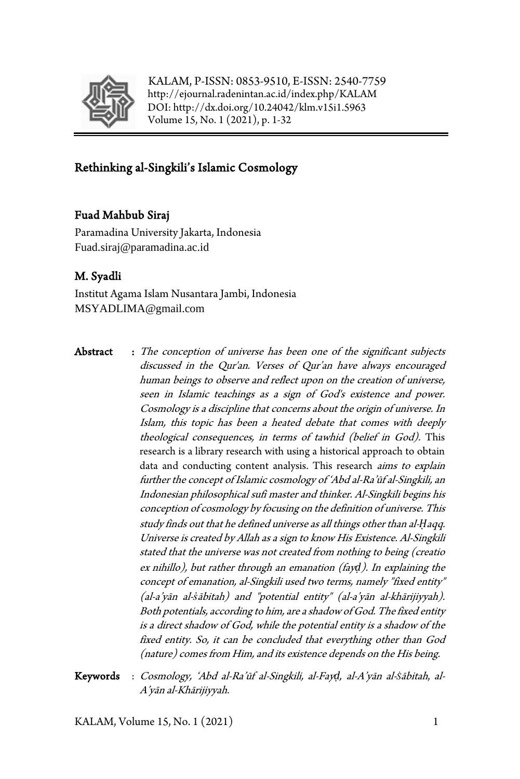

KALAM, P-ISSN: 0853-9510, E-ISSN: 2540-7759 <http://ejournal.radenintan.ac.id/index.php/KALAM> DOI[: http://dx.doi.org/10.24042/klm.v15i1.5963](http://dx.doi.org/10.24042/klm.v15i1.5963) Volume 15, No. 1 (2021), p. 1-32

# Rethinking al-Singkili's Islamic Cosmology

### Fuad Mahbub Siraj

Paramadina University Jakarta, Indonesia Fuad.siraj@paramadina.ac.id

## M. Syadli

Institut Agama Islam Nusantara Jambi, Indonesia MSYADLIMA@gmail.com

- Abstract : The conception of universe has been one of the significant subjects discussed in the Qur'an. Verses of Qur'an have always encouraged human beings to observe and reflect upon on the creation of universe, seen in Islamic teachings as a sign of God's existence and power. Cosmology is a discipline that concerns about the origin of universe. In Islam, this topic has been a heated debate that comes with deeply theological consequences, in terms of tawhid (belief in God). This research is a library research with using a historical approach to obtain data and conducting content analysis. This research *aims to explain* further the concept of Islamic cosmology of 'Abd al-Ra'ūf al-Singkili, an Indonesian philosophical sufi master and thinker. Al-Singkili begins his conception of cosmology by focusing on the definition of universe. This study finds out that he defined universe as all things other than al-*Ḥ*aqq. Universe is created by Allah as a sign to know His Existence. Al-Singkili stated that the universe was not created from nothing to being (creatio ex nihillo), but rather through an emanation (fay*ḍ*). In explaining the concept of emanation, al-Singkili used two terms, namely "fixed entity" (al-a'yān al-*ṡ*ābitah) and "potential entity" (al-a'yān al-khārijiyyah). Both potentials, according to him, are a shadow of God. The fixed entity is a direct shadow of God, while the potential entity is a shadow of the fixed entity. So, it can be concluded that everything other than God (nature) comes from Him, and its existence depends on the His being.
- Keywords : Cosmology, 'Abd al-Ra'ūf al-Singkili, al-Fay*ḍ,* al-A'yān al-*Ṡ*ābitah, al-A'yān al-Khārijiyyah.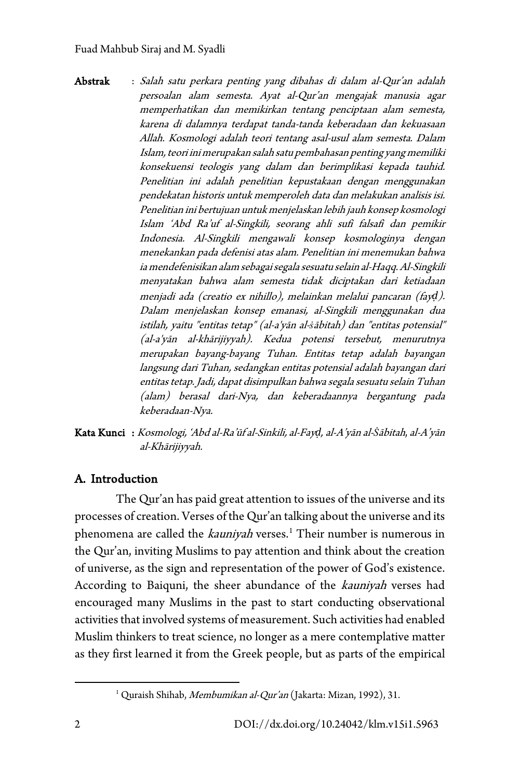Abstrak : Salah satu perkara penting yang dibahas di dalam al-Qur'an adalah persoalan alam semesta. Ayat al-Qur'an mengajak manusia agar memperhatikan dan memikirkan tentang penciptaan alam semesta, karena di dalamnya terdapat tanda-tanda keberadaan dan kekuasaan Allah. Kosmologi adalah teori tentang asal-usul alam semesta. Dalam Islam, teori ini merupakan salah satu pembahasan penting yang memiliki konsekuensi teologis yang dalam dan berimplikasi kepada tauhid. Penelitian ini adalah penelitian kepustakaan dengan menggunakan pendekatan historis untuk memperoleh data dan melakukan analisis isi. Penelitian ini bertujuan untuk menjelaskan lebih jauh konsep kosmologi Islam 'Abd Ra'uf al-Singkili, seorang ahli sufi falsafi dan pemikir Indonesia. Al-Singkili mengawali konsep kosmologinya dengan menekankan pada defenisi atas alam. Penelitian ini menemukan bahwa ia mendefenisikan alam sebagai segala sesuatu selain al-Haqq. Al-Singkili menyatakan bahwa alam semesta tidak diciptakan dari ketiadaan menjadi ada (creatio ex nihillo), melainkan melalui pancaran (fay*ḍ*). Dalam menjelaskan konsep emanasi, al-Singkili menggunakan dua istilah, yaitu "entitas tetap" (al-a'yān al-*ṡ*ābitah) dan "entitas potensial" (al-a'yān al-khārijiyyah). Kedua potensi tersebut, menurutnya merupakan bayang-bayang Tuhan. Entitas tetap adalah bayangan langsung dari Tuhan, sedangkan entitas potensial adalah bayangan dari entitas tetap. Jadi, dapat disimpulkan bahwa segala sesuatu selain Tuhan (alam) berasal dari-Nya, dan keberadaannya bergantung pada keberadaan-Nya.

Kata Kunci : Kosmologi, 'Abd al-Ra'ūf al-Sinkili, al-Fay*ḍ,* al-A'yān al-*Ṡ*ābitah, al-A'yān al-Khārijiyyah.

# A. Introduction

The Qur'an has paid great attention to issues of the universe and its processes of creation. Verses of the Qur'an talking about the universe and its phenomena are called the kauniyah verses.<sup>[1](#page-1-0)</sup> Their number is numerous in the Qur'an, inviting Muslims to pay attention and think about the creation of universe, as the sign and representation of the power of God's existence. According to Baiquni, the sheer abundance of the kauniyah verses had encouraged many Muslims in the past to start conducting observational activities that involved systems of measurement. Such activities had enabled Muslim thinkers to treat science, no longer as a mere contemplative matter as they first learned it from the Greek people, but as parts of the empirical

<span id="page-1-0"></span><sup>&</sup>lt;sup>1</sup> Quraish Shihab, Membumikan al-Qur'an (Jakarta: Mizan, 1992), 31.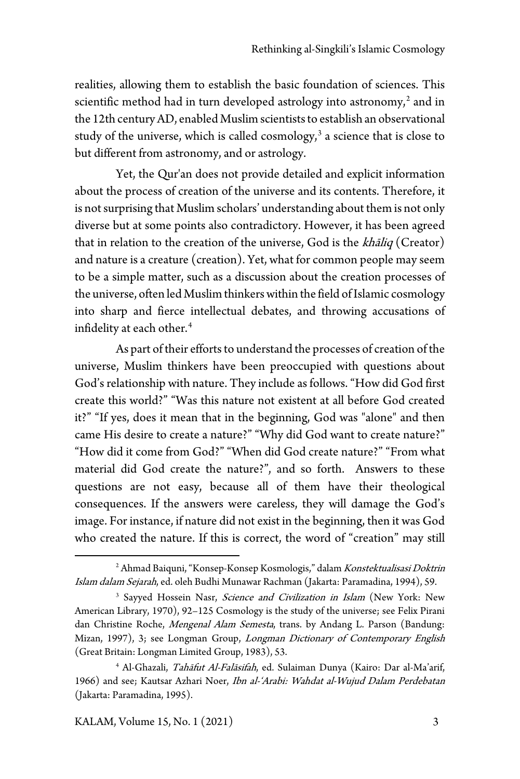realities, allowing them to establish the basic foundation of sciences. This scientific method had in turn developed astrology into astronomy,<sup>[2](#page-2-0)</sup> and in the 12th century AD, enabled Muslim scientists to establish an observational study of the universe, which is called cosmology, $3$  a science that is close to but different from astronomy, and or astrology.

Yet, the Qur'an does not provide detailed and explicit information about the process of creation of the universe and its contents. Therefore, it is not surprising that Muslim scholars' understanding about them is not only diverse but at some points also contradictory. However, it has been agreed that in relation to the creation of the universe, God is the  $kh\bar{a}liq$  (Creator) and nature is a creature (creation). Yet, what for common people may seem to be a simple matter, such as a discussion about the creation processes of the universe, often led Muslim thinkers within the field of Islamic cosmology into sharp and fierce intellectual debates, and throwing accusations of infidelity at each other.<sup>[4](#page-2-2)</sup>

As part of their efforts to understand the processes of creation of the universe, Muslim thinkers have been preoccupied with questions about God's relationship with nature. They include as follows. "How did God first create this world?" "Was this nature not existent at all before God created it?" "If yes, does it mean that in the beginning, God was "alone" and then came His desire to create a nature?" "Why did God want to create nature?" "How did it come from God?" "When did God create nature?" "From what material did God create the nature?", and so forth. Answers to these questions are not easy, because all of them have their theological consequences. If the answers were careless, they will damage the God's image. For instance, if nature did not exist in the beginning, then it was God who created the nature. If this is correct, the word of "creation" may still

<span id="page-2-0"></span><sup>&</sup>lt;sup>2</sup> Ahmad Baiquni, "Konsep-Konsep Kosmologis," dalam Konstektualisasi Doktrin Islam dalam Sejarah, ed. oleh Budhi Munawar Rachman (Jakarta: Paramadina, 1994), 59.

<span id="page-2-1"></span><sup>&</sup>lt;sup>3</sup> Sayyed Hossein Nasr, Science and Civilization in Islam (New York: New American Library, 1970), 92–125 Cosmology is the study of the universe; see Felix Pirani dan Christine Roche, Mengenal Alam Semesta, trans. by Andang L. Parson (Bandung: Mizan, 1997), 3; see Longman Group, Longman Dictionary of Contemporary English (Great Britain: Longman Limited Group, 1983), 53.

<span id="page-2-2"></span><sup>&</sup>lt;sup>4</sup> Al-Ghazali, Tahāfut Al-Falāsifah, ed. Sulaiman Dunya (Kairo: Dar al-Ma'arif, 1966) and see; Kautsar Azhari Noer, Ibn al-'Arabi: Wahdat al-Wujud Dalam Perdebatan (Jakarta: Paramadina, 1995).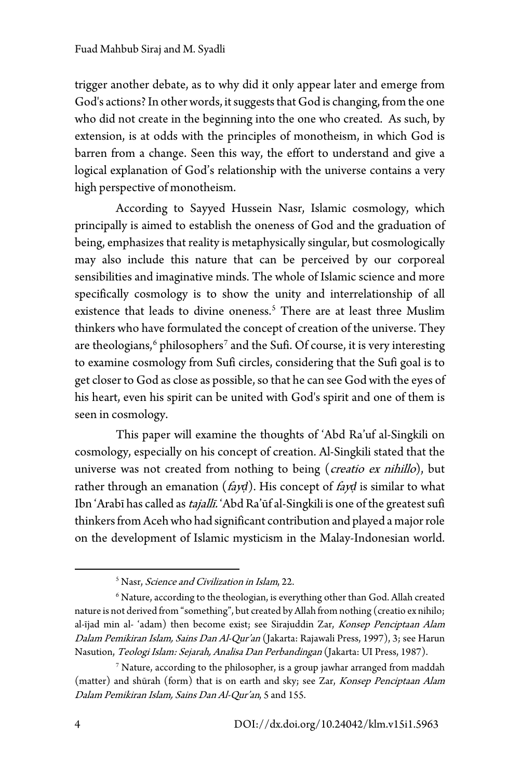trigger another debate, as to why did it only appear later and emerge from God's actions? In other words, it suggests that God is changing, from the one who did not create in the beginning into the one who created. As such, by extension, is at odds with the principles of monotheism, in which God is barren from a change. Seen this way, the effort to understand and give a logical explanation of God's relationship with the universe contains a very high perspective of monotheism.

According to Sayyed Hussein Nasr, Islamic cosmology, which principally is aimed to establish the oneness of God and the graduation of being, emphasizes that reality is metaphysically singular, but cosmologically may also include this nature that can be perceived by our corporeal sensibilities and imaginative minds. The whole of Islamic science and more specifically cosmology is to show the unity and interrelationship of all existence that leads to divine oneness.<sup>[5](#page-3-0)</sup> There are at least three Muslim thinkers who have formulated the concept of creation of the universe. They are theologians, $6$  philosophers<sup>[7](#page-3-2)</sup> and the Sufi. Of course, it is very interesting to examine cosmology from Sufi circles, considering that the Sufi goal is to get closer to God as close as possible, so that he can see God with the eyes of his heart, even his spirit can be united with God's spirit and one of them is seen in cosmology.

This paper will examine the thoughts of 'Abd Ra'uf al-Singkili on cosmology, especially on his concept of creation. Al-Singkili stated that the universe was not created from nothing to being (*creatio ex nihillo*), but rather through an emanation (fay*ḍ*). His concept of fay*ḍ* is similar to what Ibn 'Arabī has called as tajallī. 'Abd Ra'ūf al-Singkili is one of the greatest sufi thinkers from Aceh who had significant contribution and played a major role on the development of Islamic mysticism in the Malay-Indonesian world.

<sup>&</sup>lt;sup>5</sup> Nasr, *Science and Civilization in Islam*, 22.

<span id="page-3-1"></span><span id="page-3-0"></span> $6$  Nature, according to the theologian, is everything other than God. Allah created nature is not derived from "something", but created by Allah from nothing (creatio ex nihilo; al-ījad min al- 'adam) then become exist; see Sirajuddin Zar, Konsep Penciptaan Alam Dalam Pemikiran Islam, Sains Dan Al-Qur'an (Jakarta: Rajawali Press, 1997), 3; see Harun Nasution, Teologi Islam: Sejarah, Analisa Dan Perbandingan (Jakarta: UI Press, 1987).

<span id="page-3-2"></span><sup>7</sup> Nature, according to the philosopher, is a group jawhar arranged from maddah (matter) and shūrah (form) that is on earth and sky; see Zar, Konsep Penciptaan Alam Dalam Pemikiran Islam, Sains Dan Al-Qur'an, 5 and 155.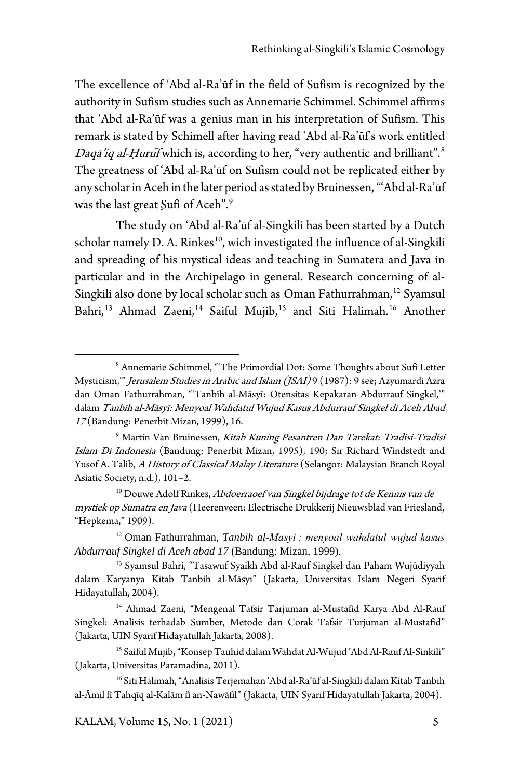The excellence of 'Abd al-Ra'ūf in the field of Sufism is recognized by the authority in Sufism studies such as Annemarie Schimmel. Schimmel affirms that 'Abd al-Ra'ūf was a genius man in his interpretation of Sufism. This remark is stated by Schimell after having read 'Abd al-Ra'ūf's work entitled Daqā'iq al-Hurui<sup>f</sup> which is, according to her, "very authentic and brilliant".<sup>[8](#page-4-0)</sup> The greatness of 'Abd al-Ra'ūf on Sufism could not be replicated either by any scholar in Aceh in the later period as stated by Bruinessen, "'Abd al-Ra'ūf was the last great Sufi of Aceh".<sup>[9](#page-4-1)</sup>

The study on 'Abd al-Ra'ūf al-Singkili has been started by a Dutch scholar namely D. A. Rinkes<sup>[10](#page-4-2)</sup>, wich investigated the influence of al-Singkili and spreading of his mystical ideas and teaching in Sumatera and Java in particular and in the Archipelago in general. Research concerning of al-Singkili also done by local scholar such as Oman Fathurrahma[n,](#page-4-3) [12](#page-5-0) Syamsul Bahri,<sup>[13](#page-5-1)</sup> Ahmad Zaeni,<sup>[14](#page-5-2)</sup> Saiful Mujib,<sup>[15](#page-6-0)</sup> and Siti Halimah.<sup>[16](#page-6-1)</sup> Another

<sup>8</sup> Annemarie Schimmel, "'The Primordial Dot: Some Thoughts about Sufi Letter Mysticism," Jerusalem Studies in Arabic and Islam (JSAI) 9 (1987): 9 see; Azyumardi Azra dan Oman Fathurrahman, "'Tanbīh al-Māsyī: Otensitas Kepakaran Abdurrauf Singkel,'" dalam Tanbīh al-Māsyī: Menyoal Wahdatul Wujud Kasus Abdurrauf Singkel di Aceh Abad <sup>17</sup> (Bandung: Penerbit Mizan, 1999), 16.

<sup>&</sup>lt;sup>9</sup> Martin Van Bruinessen, Kitab Kuning Pesantren Dan Tarekat: Tradisi-Tradisi Islam Di Indonesia (Bandung: Penerbit Mizan, 1995), 190; Sir Richard Windstedt and Yusof A. Talib, A History of Classical Malay Literature (Selangor: Malaysian Branch Royal Asiatic Society, n.d.), 101–2.

<span id="page-4-0"></span><sup>&</sup>lt;sup>10</sup> Douwe Adolf Rinkes, Abdoerraoef van Singkel bijdrage tot de Kennis van de mystiek op Sumatra en Java (Heerenveen: Electrische Drukkerij Nieuwsblad van Friesland, "Hepkema," 1909).

<sup>12</sup> Oman Fathurrahman, *Tanbih al-Masyi : menyoal wahdatul wujud kasus Abdurrauf Singkel di Aceh abad 17* (Bandung: Mizan, 1999).

<span id="page-4-1"></span><sup>13</sup> Syamsul Bahri, "Tasawuf Syaikh Abd al-Rauf Singkel dan Paham Wujūdiyyah dalam Karyanya Kitab Tanbih al-Māsyi" (Jakarta, Universitas Islam Negeri Syarif Hidayatullah, 2004).

<span id="page-4-2"></span><sup>14</sup> Ahmad Zaeni, "Mengenal Tafsir Tarjuman al-Mustafid Karya Abd Al-Rauf Singkel: Analisis terhadab Sumber, Metode dan Corak Tafsir Turjuman al-Mustafid" (Jakarta, UIN Syarif Hidayatullah Jakarta, 2008).

<sup>15</sup> Saiful Mujib, "Konsep Tauhid dalam Wahdat Al-Wujud 'Abd Al-Rauf Al-Sinkili" (Jakarta, Universitas Paramadina, 2011).

<span id="page-4-3"></span><sup>&</sup>lt;sup>16</sup> Siti Halimah, "Analisis Terjemahan 'Abd al-Ra'ūf al-Singkili dalam Kitab Tanbih al-Āmil fī Tahqīq al-Kalām fī an-Nawāfil" (Jakarta, UIN Syarif Hidayatullah Jakarta, 2004).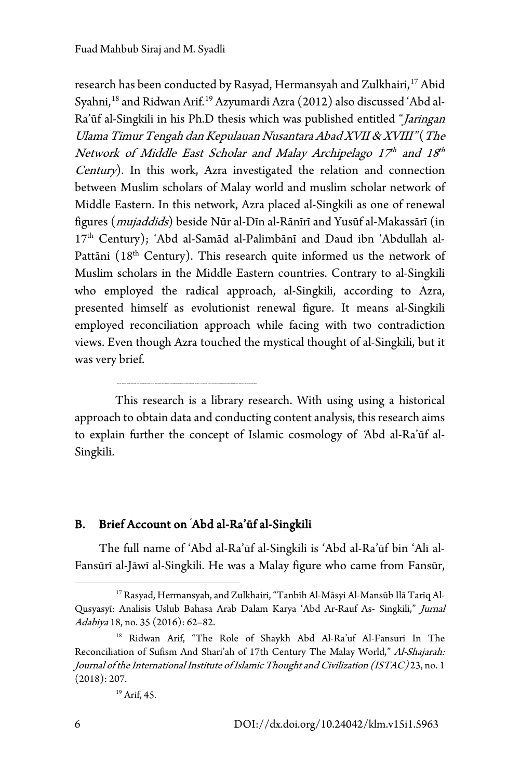research has been conducted by Rasyad, Hermansyah and Zulkhairi, [17](#page-6-2) Abid Syahni, [18](#page-6-3) and Ridwan Arif. [19](#page-6-4) Azyumardi Azra (2012) also discussed 'Abd al-Ra'ūf al-Singkili in his Ph.D thesis which was published entitled "Jaringan Ulama Timur Tengah dan Kepulauan Nusantara Abad XVII & XVIII" (The Network of Middle East Scholar and Malay Archipelago  $17<sup>th</sup>$  and  $18<sup>th</sup>$ Century). In this work, Azra investigated the relation and connection between Muslim scholars of Malay world and muslim scholar network of Middle Eastern. In this network, Azra placed al-Singkili as one of renewal figures (mujaddids) beside Nūr al-Dīn al-Rānīrī and Yusūf al-Makassārī (in 17<sup>th</sup> Century); 'Abd al-Samād al-Palimbānī and Daud ibn 'Abdullah al-Pattāni (18<sup>th</sup> Century). This research quite informed us the network of Muslim scholars in the Middle Eastern countries. Contrary to al-Singkili who employed the radical approach, al-Singkili, according to Azra, presented himself as evolutionist renewal figure. It means al-Singkili employed reconciliation approach while facing with two contradiction views. Even though Azra touched the mystical thought of al-Singkili, but it was very brief.

This research is a library research. With using using a historical approach to obtain data and conducting content analysis, this research aims to explain further the concept of Islamic cosmology of 'Abd al-Ra'ūf al-Singkili.

#### B. Brief Account on ' Abd al-Ra'ūf al-Singkili

The full name of 'Abd al-Ra'ūf al-Singkili is 'Abd al-Ra'ūf bin 'Alī al-Fansūrī al-Jāwī al-Singkili. He was a Malay figure who came from Fansūr,

<span id="page-5-0"></span><sup>17</sup> Rasyad, Hermansyah, and Zulkhairi, "Tanbīh Al-Māsyi Al-Mansūb Ilā Tarīq Al-Qusyasyī: Analisis Uslub Bahasa Arab Dalam Karya 'Abd Ar-Rauf As- Singkili," Jurnal Adabiya 18, no. 35 (2016): 62–82.

<span id="page-5-2"></span><span id="page-5-1"></span><sup>18</sup> Ridwan Arif, "The Role of Shaykh Abd Al-Ra'uf Al-Fansuri In The Reconciliation of Sufism And Shari'ah of 17th Century The Malay World," Al-Shajarah: Journal of the International Institute of Islamic Thought and Civilization (ISTAC) 23, no. 1 (2018): 207.

<sup>19</sup> Arif, 45.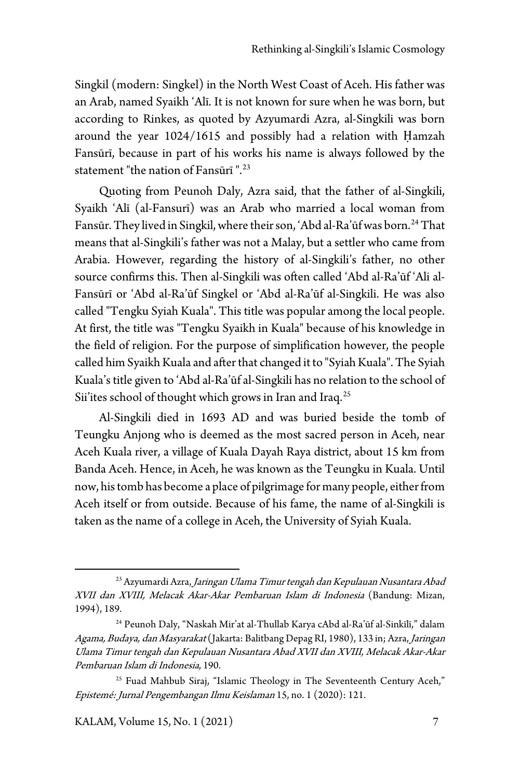Singkil (modern: Singkel) in the North West Coast of Aceh. His father was an Arab, named Syaikh 'Alī. It is not known for sure when he was born, but according to Rinkes, as quoted by Azyumardi Azra, al-Singkili was born around the year 1024/1615 and possibly had a relation with Ḥamzah Fansūrī, because in part of his works his name is always followed by the statement "the nation of Fansūrī ". [23](#page-7-1)

Quoting from Peunoh Daly, Azra said, that the father of al-Singkili, Syaikh 'Alī (al-Fansurī) was an Arab who married a local woman from Fansūr. They lived in Singkil, where their son, 'Abd al-Ra'ūf was born.<sup>[24](#page-8-0)</sup> That means that al-Singkili's father was not a Malay, but a settler who came from Arabia. However, regarding the history of al-Singkili's father, no other source confirms this. Then al-Singkili was often called 'Abd al-Ra'ūf 'Ali al-Fansūrī or 'Abd al-Ra'ūf Singkel or 'Abd al-Ra'ūf al-Singkili. He was also called "Tengku Syiah Kuala". This title was popular among the local people. At first, the title was "Tengku Syaikh in Kuala" because of his knowledge in the field of religion. For the purpose of simplification however, the people called him Syaikh Kuala and after that changed it to "Syiah Kuala". The Syiah Kuala's title given to 'Abd al-Ra'ūf al-Singkili has no relation to the school of Sii'ites school of thought which grows in Iran and Iraq.<sup>[25](#page-8-1)</sup>

Al-Singkili died in 1693 AD and was buried beside the tomb of Teungku Anjong who is deemed as the most sacred person in Aceh, near Aceh Kuala river, a village of Kuala Dayah Raya district, about 15 km from Banda Aceh. Hence, in Aceh, he was known as the Teungku in Kuala. Until now, his tomb has become a place of pilgrimage for many people, either from Aceh itself or from outside. Because of his fame, the name of al-Singkili is taken as the name of a college in Aceh, the University of Syiah Kuala.

<span id="page-6-2"></span><span id="page-6-1"></span><span id="page-6-0"></span><sup>&</sup>lt;sup>23</sup> Azyumardi Azra, *Jaringan Ulama Timur tengah dan Kepulauan Nusantara Abad* XVII dan XVIII, Melacak Akar-Akar Pembaruan Islam di Indonesia (Bandung: Mizan, 1994), 189.

<span id="page-6-3"></span><sup>24</sup> Peunoh Daly, "Naskah Mir'at al-Thullab Karya cAbd al-Ra'ūf al-Sinkīlī," dalam Agama, Budaya, dan Masyarakat (Jakarta: Balitbang Depag RI, 1980), 133 in; Azra, Jaringan Ulama Timur tengah dan Kepulauan Nusantara Abad XVII dan XVIII, Melacak Akar-Akar Pembaruan Islam di Indonesia, 190.

<span id="page-6-4"></span><sup>&</sup>lt;sup>25</sup> Fuad Mahbub Siraj, "Islamic Theology in The Seventeenth Century Aceh," Epistemé: Jurnal Pengembangan Ilmu Keislaman 15, no. 1 (2020): 121.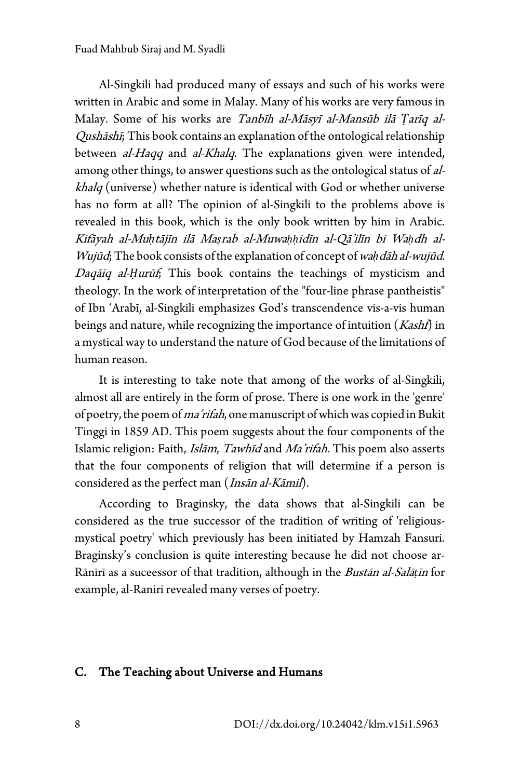Al-Singkili had produced many of essays and such of his works were written in Arabic and some in Malay. Many of his works are very famous in Malay. Some of his works are Tanbīh al-Māsyī al-Mansūb ilā *Ṭ*arīq al-Qushāshī; This book contains an explanation of the ontological relationship between *al-Haqq* and *al-Khalq*. The explanations given were intended, among other things, to answer questions such as the ontological status of alkhalq (universe) whether nature is identical with God or whether universe has no form at all? The opinion of al-Singkili to the problems above is revealed in this book, which is the only book written by him in Arabic. Kifāyah al-Mu*ḥ*tājīn ilā Ma*ṣ*rab al-Muwa*ḥḥ*idīn al-Qā'ilīn bi Wa*ḥ*dh al-Wujūd; The book consists of the explanation of concept of wa*ḥ*dāh al-wujūd. Daqāiq al-*Ḥ*urūf; This book contains the teachings of mysticism and theology. In the work of interpretation of the "four-line phrase pantheistis" of Ibn 'Arabī, al-Singkili emphasizes God's transcendence vis-a-vis human beings and nature, while recognizing the importance of intuition  $(Kashf)$  in a mystical way to understand the nature of God because of the limitations of human reason.

It is interesting to take note that among of the works of al-Singkili, almost all are entirely in the form of prose. There is one work in the 'genre' of poetry, the poem of ma'rifah, one manuscript of which was copied in Bukit Tinggi in 1859 AD. This poem suggests about the four components of the Islamic religion: Faith, *Islām*, Tawhīd and Ma'rifah. This poem also asserts that the four components of religion that will determine if a person is considered as the perfect man (Insān al-Kāmil).

According to Braginsky, the data shows that al-Singkili can be considered as the true successor of the tradition of writing of 'religiousmystical poetry' which previously has been initiated by Hamzah Fansuri. Braginsky's conclusion is quite interesting because he did not choose ar-Rānīrī as a suceessor of that tradition, although in the Bustān al-Salā*ṭ*īn for example, al-Raniri revealed many verses of poetry.

#### <span id="page-7-1"></span><span id="page-7-0"></span>C. The Teaching about Universe and Humans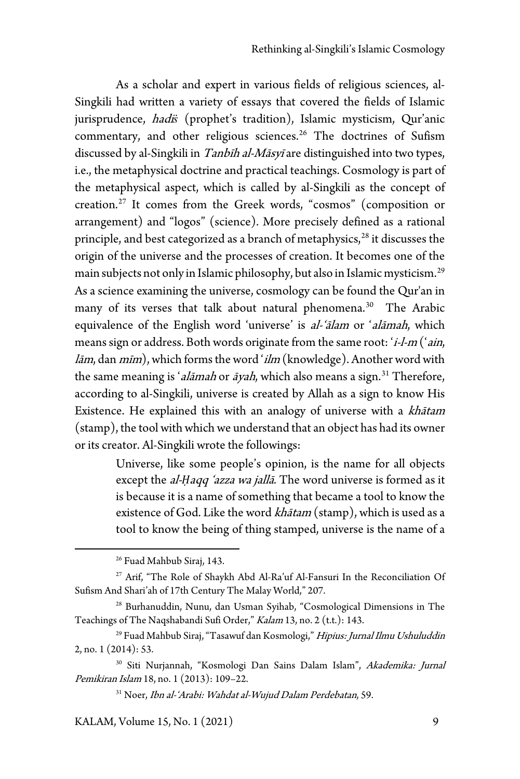As a scholar and expert in various fields of religious sciences, al-Singkili had written a variety of essays that covered the fields of Islamic jurisprudence, *hadi*s (prophet's tradition), Islamic mysticism, Qur'anic commentary, and other religious sciences.[26](#page-9-0) The doctrines of Sufism discussed by al-Singkili in Tanbīh al-Māsyī are distinguished into two types, i.e., the metaphysical doctrine and practical teachings. Cosmology is part of the metaphysical aspect, which is called by al-Singkili as the concept of creation.[27](#page-10-0) It comes from the Greek words, "cosmos" (composition or arrangement) and "logos" (science). More precisely defined as a rational principle, and best categorized as a branch of metaphysics, $28$  it discusses the origin of the universe and the processes of creation. It becomes one of the main subjects not only in Islamic philosophy, but also in Islamic mysticism.[29](#page-10-2) As a science examining the universe, cosmology can be found the Qur'an in many of its verses that talk about natural phenomena.<sup>[30](#page-10-3)</sup> The Arabic equivalence of the English word 'universe' is al-'ālam or 'alāmah, which means sign or address. Both words originate from the same root: 'i-l-m ('ain,  $l$ ām, dan mīm), which forms the word ' $ilm$  (knowledge). Another word with the same meaning is '*alāmah* or  $\overline{a}$ *yah*, which also means a sign.<sup>[31](#page-10-4)</sup> Therefore, according to al-Singkili, universe is created by Allah as a sign to know His Existence. He explained this with an analogy of universe with a khātam (stamp), the tool with which we understand that an object has had its owner or its creator. Al-Singkili wrote the followings:

> Universe, like some people's opinion, is the name for all objects except the *al-Haqq 'azza wa jallā*. The word universe is formed as it is because it is a name of something that became a tool to know the existence of God. Like the word khātam (stamp), which is used as a tool to know the being of thing stamped, universe is the name of a

KALAM, Volume 15, No. 1 (2021) 9

<sup>26</sup> Fuad Mahbub Siraj, 143.

<sup>&</sup>lt;sup>27</sup> Arif, "The Role of Shaykh Abd Al-Ra'uf Al-Fansuri In the Reconciliation Of Sufism And Shari'ah of 17th Century The Malay World," 207.

<sup>28</sup> Burhanuddin, Nunu, dan Usman Syihab, "Cosmological Dimensions in The Teachings of The Naqshabandi Sufi Order," Kalam 13, no. 2 (t.t.): 143.

<span id="page-8-0"></span><sup>&</sup>lt;sup>29</sup> Fuad Mahbub Siraj, "Tasawuf dan Kosmologi," *Hipius: Jurnal Ilmu Ushuluddin* 2, no. 1 (2014): 53.

<span id="page-8-1"></span><sup>&</sup>lt;sup>30</sup> Siti Nurjannah, "Kosmologi Dan Sains Dalam Islam", Akademika: Jurnal Pemikiran Islam 18, no. 1 (2013): 109–22.

<sup>&</sup>lt;sup>31</sup> Noer, Ibn al-'Arabi: Wahdat al-Wujud Dalam Perdebatan, 59.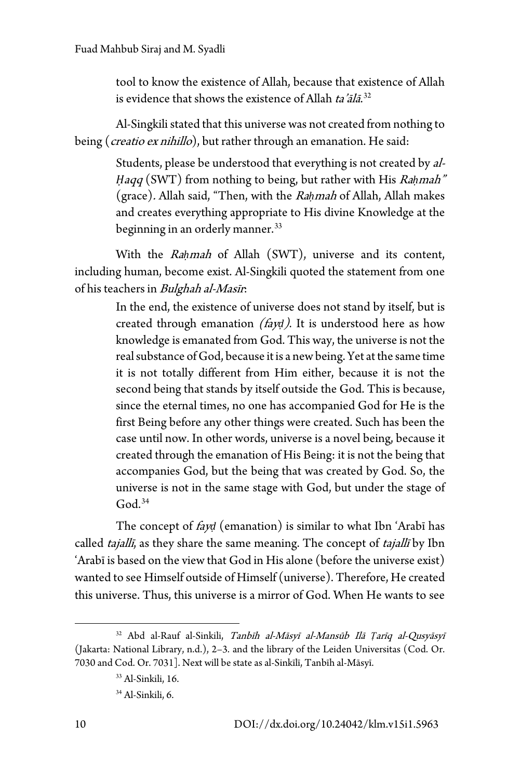tool to know the existence of Allah, because that existence of Allah is evidence that shows the existence of Allah ta'ālā. $32$ 

Al-Singkili stated that this universe was not created from nothing to being (*creatio ex nihillo*), but rather through an emanation. He said:

> Students, please be understood that everything is not created by al-*Ḥ*aqq (SWT) from nothing to being, but rather with His Ra*ḥ*mah" (grace). Allah said, "Then, with the Ra*ḥ*mah of Allah, Allah makes and creates everything appropriate to His divine Knowledge at the beginning in an orderly manner.<sup>[33](#page-11-0)</sup>

With the Ra*ḥ*mah of Allah (SWT), universe and its content, including human, become exist. Al-Singkili quoted the statement from one of his teachers in Bulghah al-Masīr.

> In the end, the existence of universe does not stand by itself, but is created through emanation (fay*ḍ*). It is understood here as how knowledge is emanated from God. This way, the universe is not the real substance of God, because it is a new being. Yet at the same time it is not totally different from Him either, because it is not the second being that stands by itself outside the God. This is because, since the eternal times, no one has accompanied God for He is the first Being before any other things were created. Such has been the case until now. In other words, universe is a novel being, because it created through the emanation of His Being: it is not the being that accompanies God, but the being that was created by God. So, the universe is not in the same stage with God, but under the stage of  $God.<sup>34</sup>$  $God.<sup>34</sup>$  $God.<sup>34</sup>$

The concept of fay*ḍ* (emanation) is similar to what Ibn 'Arabī has called *tajallī*, as they share the same meaning. The concept of *tajallī* by Ibn 'Arabī is based on the view that God in His alone (before the universe exist) wanted to see Himself outside of Himself (universe). Therefore, He created this universe. Thus, this universe is a mirror of God. When He wants to see

<span id="page-9-0"></span><sup>32</sup> Abd al-Rauf al-Sinkili, Tanbīh al-Māsyī al-Mansūb Ilā *Ṭ*arīq al-Qusyāsyī (Jakarta: National Library, n.d.), 2–3. and the library of the Leiden Universitas (Cod. Or. 7030 and Cod. Or. 7031]. Next will be state as al-Sinkīlī, Tanbīh al-Māsyī.

<sup>33</sup> Al-Sinkili, 16.

<sup>34</sup> Al-Sinkili, 6.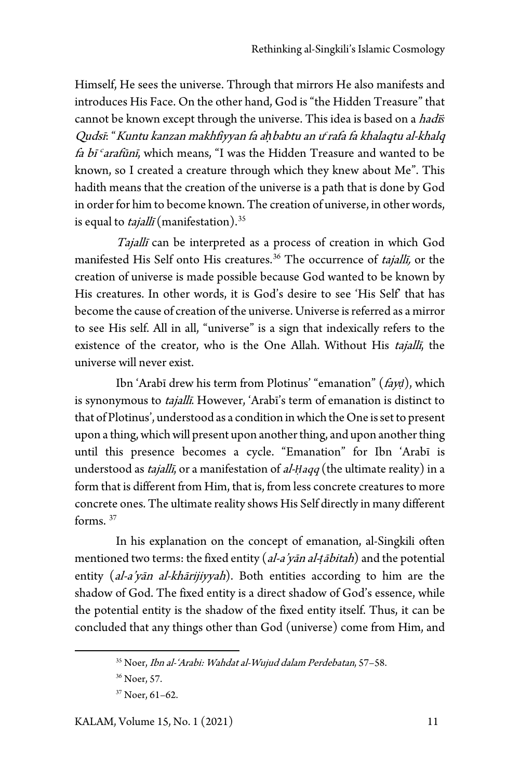Himself, He sees the universe. Through that mirrors He also manifests and introduces His Face. On the other hand, God is "the Hidden Treasure" that cannot be known except through the universe. This idea is based on a hadī*ṡ* Qudsī: "Kuntu kanzan makhfiyyan fa ah babtu an u<sup>c</sup> rafa fa khalaqtu al-khalq fa bī $\epsilon$ arafūnī, which means, "I was the Hidden Treasure and wanted to be known, so I created a creature through which they knew about Me". This hadith means that the creation of the universe is a path that is done by God in order for him to become known. The creation of universe, in other words, is equal to *tajallī* (manifestation).<sup>[35](#page-12-0)</sup>

Tajallī can be interpreted as a process of creation in which God manifested His Self onto His creatures.<sup>[36](#page-12-1)</sup> The occurrence of *tajallī*, or the creation of universe is made possible because God wanted to be known by His creatures. In other words, it is God's desire to see 'His Self' that has become the cause of creation of the universe. Universe is referred as a mirror to see His self. All in all, "universe" is a sign that indexically refers to the existence of the creator, who is the One Allah. Without His tajalli, the universe will never exist.

Ibn 'Arabī drew his term from Plotinus' "emanation" (fay*ḍ*), which is synonymous to *tajallī*. However, 'Arabī's term of emanation is distinct to that of Plotinus', understood as a condition in which the One is set to present upon a thing, which will present upon another thing, and upon another thing until this presence becomes a cycle. "Emanation" for Ibn 'Arabī is understood as *tajallī*, or a manifestation of *al-Ḥaqq* (the ultimate reality) in a form that is different from Him, that is, from less concrete creatures to more concrete ones. The ultimate reality shows His Self directly in many different forms. [37](#page-12-2)

<span id="page-10-3"></span><span id="page-10-2"></span><span id="page-10-1"></span><span id="page-10-0"></span>In his explanation on the concept of emanation, al-Singkili often mentioned two terms: the fixed entity (al-a'yān al-*ṭ*ābitah) and the potential entity (al-a'yān al-khārijiyyah). Both entities according to him are the shadow of God. The fixed entity is a direct shadow of God's essence, while the potential entity is the shadow of the fixed entity itself. Thus, it can be concluded that any things other than God (universe) come from Him, and

<span id="page-10-5"></span><span id="page-10-4"></span><sup>35</sup> Noer, Ibn al-'Arabi: Wahdat al-Wujud dalam Perdebatan, 57–58.

<sup>36</sup> Noer, 57.

<sup>37</sup> Noer, 61–62.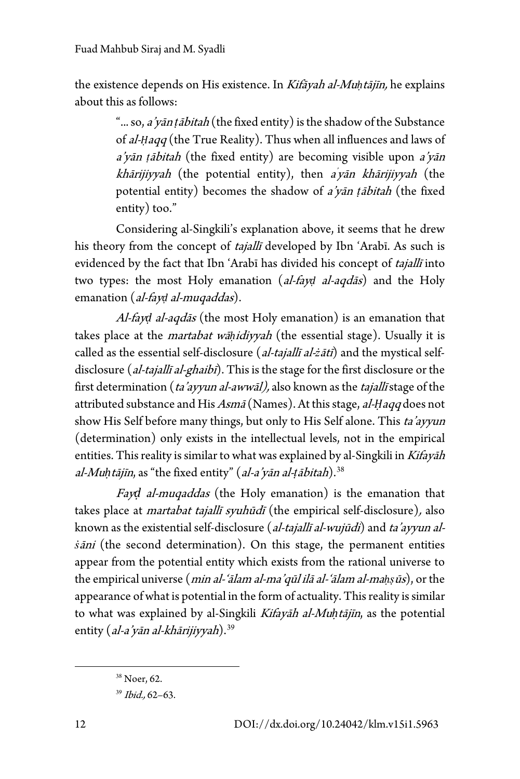the existence depends on His existence. In Kifāyah al-Mu*ḥ*tājīn, he explains about this as follows:

> "... so, a'yān *ṭ*ābitah (the fixed entity) is the shadow of the Substance of al-*Ḥ*aqq (the True Reality). Thus when all influences and laws of <sup>a</sup>'yān *ṭ*ābitah (the fixed entity) are becoming visible upon a'yān khārijiyyah (the potential entity), then a'yān khārijiyyah (the potential entity) becomes the shadow of a'yān *ṭ*ābitah (the fixed entity) too."

Considering al-Singkili's explanation above, it seems that he drew his theory from the concept of tajallī developed by Ibn 'Arabī. As such is evidenced by the fact that Ibn 'Arabī has divided his concept of tajallī into two types: the most Holy emanation (al-fay*ḍ* al-aqdās) and the Holy emanation (al-fay*ḍ* al-muqaddas).

Al-fay*ḍ* al-aqdās (the most Holy emanation) is an emanation that takes place at the martabat wā*ḥ*idiyyah (the essential stage). Usually it is called as the essential self-disclosure (al-tajallī al-*ż*ātī) and the mystical selfdisclosure (*al-tajallī al-ghaibī*). This is the stage for the first disclosure or the first determination (ta'ayyun al-awwāl), also known as the tajallī stage of the attributed substance and His Asmā (Names). At this stage, al-*Ḥ*aqq does not show His Self before many things, but only to His Self alone. This ta'ayyun (determination) only exists in the intellectual levels, not in the empirical entities. This reality is similar to what was explained by al-Singkili in Kifayah al-Mu*ḥ*tājīn, as "the fixed entity" (al-a'yān al-*ṭ*ābitah).[38](#page-13-0)

Fay*ḍ* al-muqaddas (the Holy emanation) is the emanation that takes place at *martabat tajallī syuhūdī* (the empirical self-disclosure), also known as the existential self-disclosure (*al-tajallī al-wujūdi*) and *ta'ayyun alṡ*āni (the second determination). On this stage, the permanent entities appear from the potential entity which exists from the rational universe to the empirical universe (min al-'ālam al-ma'qūl ilā al-'ālam al-ma*ḥṣ*ūs), or the appearance of what is potential in the form of actuality. This reality is similar to what was explained by al-Singkili Kifayāh al-Mu*ḥ*tājīn, as the potential entity (al-a'yān al-khārijiyyah).<sup>[39](#page-13-1)</sup>

<span id="page-11-0"></span><sup>38</sup> Noer, 62.

<span id="page-11-1"></span><sup>39</sup> Ibid., 62–63.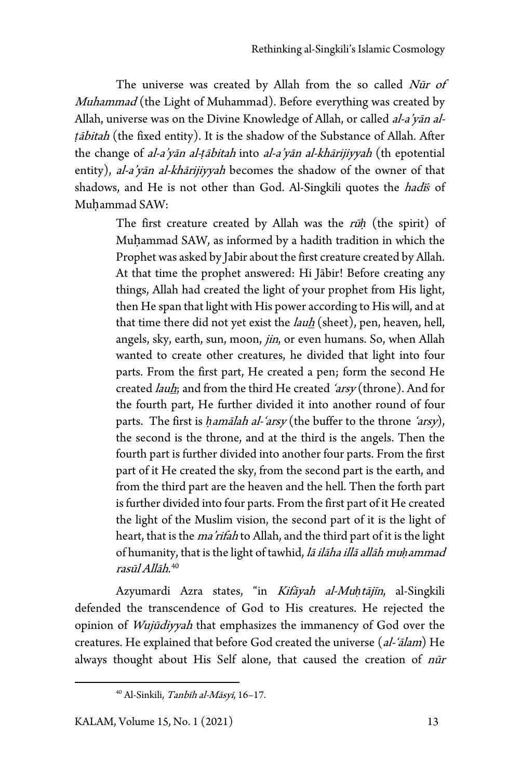The universe was created by Allah from the so called Nūr of Muhammad (the Light of Muhammad). Before everything was created by Allah, universe was on the Divine Knowledge of Allah, or called al-a'yan al*ṭ*ābitah (the fixed entity). It is the shadow of the Substance of Allah. After the change of al-a'yān al-*ṭ*ābitah into al-a'yān al-khārijiyyah (th epotential entity), al-a'yān al-khārijiyyah becomes the shadow of the owner of that shadows, and He is not other than God. Al-Singkili quotes the hadī*ṡ* of Muhammad SAW:

> The first creature created by Allah was the rū*ḥ* (the spirit) of Muḥammad SAW, as informed by a hadith tradition in which the Prophet was asked by Jabir about the first creature created by Allah. At that time the prophet answered: Hi Jābir! Before creating any things, Allah had created the light of your prophet from His light, then He span that light with His power according to His will, and at that time there did not yet exist the *lauh* (sheet), pen, heaven, hell, angels, sky, earth, sun, moon, jin, or even humans. So, when Allah wanted to create other creatures, he divided that light into four parts. From the first part, He created a pen; form the second He created *lauh*; and from the third He created ' $arsy$  (throne). And for the fourth part, He further divided it into another round of four parts. The first is *ḥ*amālah al-'arsy (the buffer to the throne 'arsy), the second is the throne, and at the third is the angels. Then the fourth part is further divided into another four parts. From the first part of it He created the sky, from the second part is the earth, and from the third part are the heaven and the hell. Then the forth part is further divided into four parts. From the first part of it He created the light of the Muslim vision, the second part of it is the light of heart, that is the *ma'rifah* to Allah, and the third part of it is the light of humanity, that is the light of tawhid, lā ilāha illā allāh mu*ḥ*ammad rasūl Allāh.<sup>[40](#page-14-0)</sup>

<span id="page-12-1"></span><span id="page-12-0"></span>Azyumardi Azra states, "in Kifāyah al-Mu*ḥ*tājīn, al-Singkili defended the transcendence of God to His creatures. He rejected the opinion of Wujūdiyyah that emphasizes the immanency of God over the creatures. He explained that before God created the universe (al-'ālam) He always thought about His Self alone, that caused the creation of nūr

<span id="page-12-2"></span><sup>40</sup> Al-Sinkili, Tanbīh al-Māsyī, 16–17.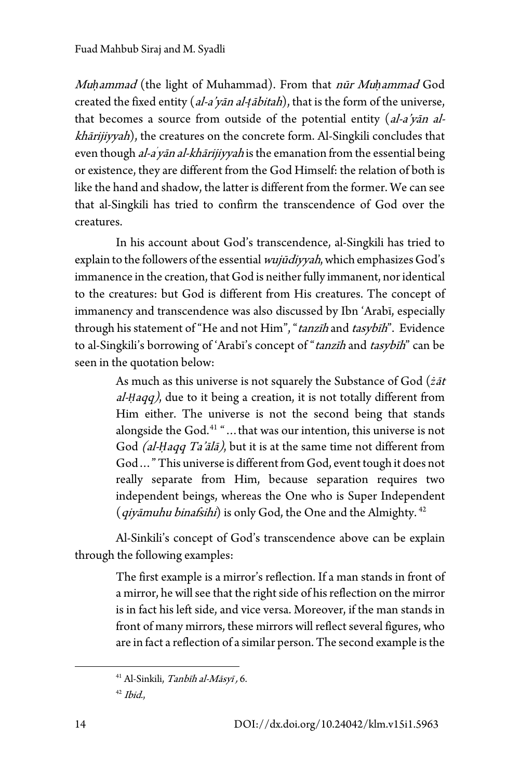Mu*ḥ*ammad (the light of Muhammad). From that nūr Mu*ḥ*ammad God created the fixed entity (al-a'yān al-*ṭ*ābitah), that is the form of the universe, that becomes a source from outside of the potential entity (al-a'yan alkhārijiyyah), the creatures on the concrete form. Al-Singkili concludes that even though *al-a yān al-khārijiyyah* is the emanation from the essential being or existence, they are different from the God Himself: the relation of both is like the hand and shadow, the latter is different from the former. We can see that al-Singkili has tried to confirm the transcendence of God over the creatures.

In his account about God's transcendence, al-Singkili has tried to explain to the followers of the essential *wujūdiyyah*, which emphasizes God's immanence in the creation, that God is neither fully immanent, nor identical to the creatures: but God is different from His creatures. The concept of immanency and transcendence was also discussed by Ibn 'Arabī, especially through his statement of "He and not Him", "tanzīh and tasybīh". Evidence to al-Singkili's borrowing of 'Arabī's concept of "tanzīh and tasybīh" can be seen in the quotation below:

> As much as this universe is not squarely the Substance of God (*ż*āt al-*Ḥ*aqq), due to it being a creation, it is not totally different from Him either. The universe is not the second being that stands alongside the God.<sup>[41](#page-15-0)</sup> "... that was our intention, this universe is not God *(al-Haqq Ta'ālā)*, but it is at the same time not different from God…" This universe is different from God, event tough it does not really separate from Him, because separation requires two independent beings, whereas the One who is Super Independent (*qiyāmuhu binafsihi*) is only God, the One and the Almighty.  $42$

Al-Sinkili's concept of God's transcendence above can be explain through the following examples:

> The first example is a mirror's reflection. If a man stands in front of a mirror, he will see that the right side of his reflection on the mirror is in fact his left side, and vice versa. Moreover, if the man stands in front of many mirrors, these mirrors will reflect several figures, who are in fact a reflection of a similar person. The second example is the

<span id="page-13-1"></span><span id="page-13-0"></span><sup>41</sup> Al-Sinkili, Tanbīh al-Māsyī , 6.

 $42$  Ibid.,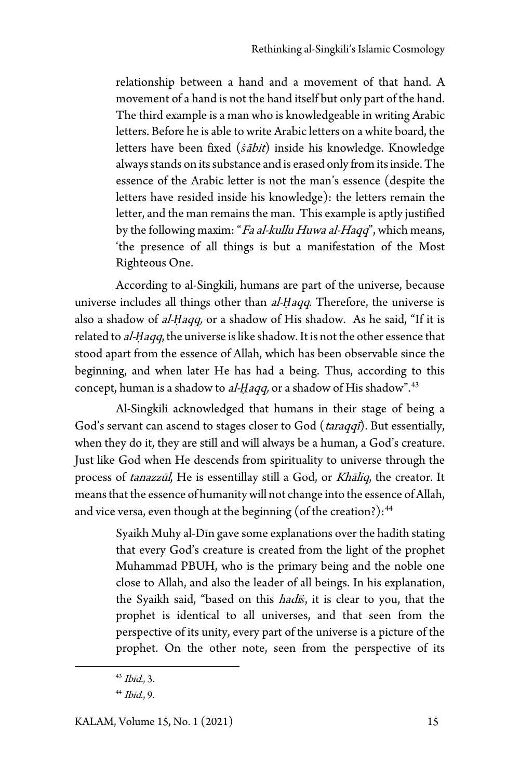relationship between a hand and a movement of that hand. A movement of a hand is not the hand itself but only part of the hand. The third example is a man who is knowledgeable in writing Arabic letters. Before he is able to write Arabic letters on a white board, the letters have been fixed (*ṡ*ābit) inside his knowledge. Knowledge always stands on its substance and is erased only from its inside. The essence of the Arabic letter is not the man's essence (despite the letters have resided inside his knowledge): the letters remain the letter, and the man remains the man. This example is aptly justified by the following maxim: "Fa al-kullu Huwa al-Haqq", which means, 'the presence of all things is but a manifestation of the Most Righteous One.

According to al-Singkili, humans are part of the universe, because universe includes all things other than *al-Ḥaqq*. Therefore, the universe is also a shadow of al-*Ḥ*aqq, or a shadow of His shadow. As he said, "If it is related to al-*Ḥ*aqq, the universe is like shadow. It is not the other essence that stood apart from the essence of Allah, which has been observable since the beginning, and when later He has had a being. Thus, according to this concept, human is a shadow to al-Haqq, or a shadow of His shadow".<sup>[43](#page-16-0)</sup>

Al-Singkili acknowledged that humans in their stage of being a God's servant can ascend to stages closer to God (*taraqqī*). But essentially, when they do it, they are still and will always be a human, a God's creature. Just like God when He descends from spirituality to universe through the process of tanazzūl, He is essentillay still a God, or Khāliq, the creator. It means that the essence of humanity will not change into the essence of Allah, and vice versa, even though at the beginning (of the creation?): $44$ 

> Syaikh Muhy al-Dīn gave some explanations over the hadith stating that every God's creature is created from the light of the prophet Muhammad PBUH, who is the primary being and the noble one close to Allah, and also the leader of all beings. In his explanation, the Syaikh said, "based on this hadī*ṡ*, it is clear to you, that the prophet is identical to all universes, and that seen from the perspective of its unity, every part of the universe is a picture of the prophet. On the other note, seen from the perspective of its

 $43$  *Ibid.*, 3.

<span id="page-14-0"></span> $44$  Ibid., 9.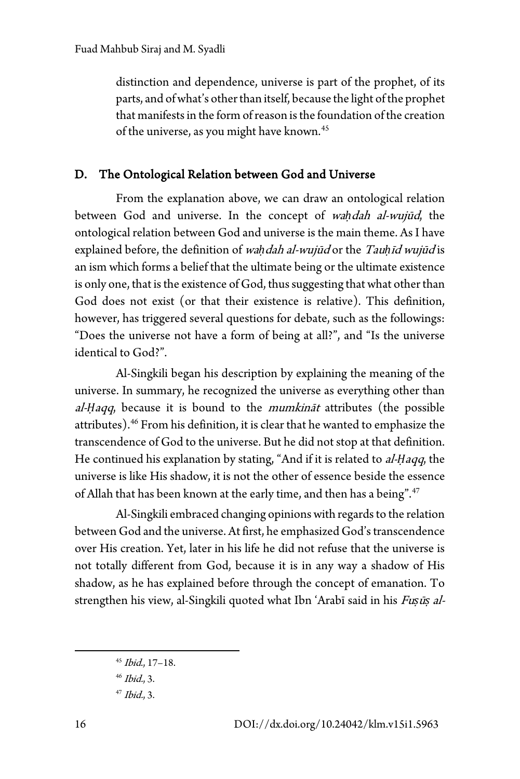distinction and dependence, universe is part of the prophet, of its parts, and of what's other than itself, because the light of the prophet that manifests in the form of reason is the foundation of the creation of the universe, as you might have known.<sup>[45](#page-17-0)</sup>

#### D. The Ontological Relation between God and Universe

From the explanation above, we can draw an ontological relation between God and universe. In the concept of wa*ḥ*dah al-wujūd, the ontological relation between God and universe is the main theme. As I have explained before, the definition of wa*ḥ*dah al-wujūd or the Tau*ḥ*īd wujūd is an ism which forms a belief that the ultimate being or the ultimate existence is only one, that is the existence of God, thus suggesting that what other than God does not exist (or that their existence is relative). This definition, however, has triggered several questions for debate, such as the followings: "Does the universe not have a form of being at all?", and "Is the universe identical to God?".

Al-Singkili began his description by explaining the meaning of the universe. In summary, he recognized the universe as everything other than al-*Ḥ*aqq, because it is bound to the mumkināt attributes (the possible attributes).<sup>[46](#page-17-1)</sup> From his definition, it is clear that he wanted to emphasize the transcendence of God to the universe. But he did not stop at that definition. He continued his explanation by stating, "And if it is related to al-*Ḥ*aqq, the universe is like His shadow, it is not the other of essence beside the essence of Allah that has been known at the early time, and then has a being".[47](#page-17-2)

Al-Singkili embraced changing opinions with regards to the relation between God and the universe. At first, he emphasized God's transcendence over His creation. Yet, later in his life he did not refuse that the universe is not totally different from God, because it is in any way a shadow of His shadow, as he has explained before through the concept of emanation. To strengthen his view, al-Singkili quoted what Ibn 'Arabī said in his Fu*ṣ*ū*ṣ* al-

<sup>45</sup> Ibid., 17–18.

<span id="page-15-0"></span> $46$  *Ibid.*, 3.

<span id="page-15-1"></span> $47$  *Ibid.*, 3.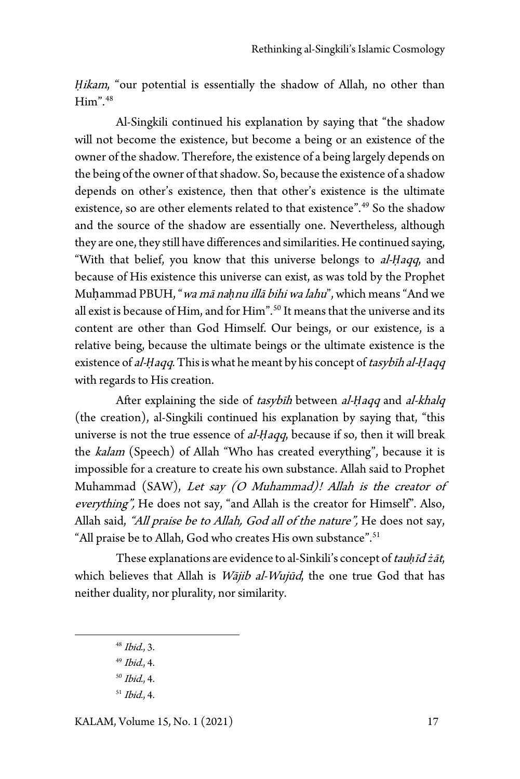*Hikam*, "our potential is essentially the shadow of Allah, no other than  $H<sup>2</sup>$ .[48](#page-18-0)

Al-Singkili continued his explanation by saying that "the shadow will not become the existence, but become a being or an existence of the owner of the shadow. Therefore, the existence of a being largely depends on the being of the owner of that shadow. So, because the existence of a shadow depends on other's existence, then that other's existence is the ultimate existence, so are other elements related to that existence".<sup>[49](#page-18-1)</sup> So the shadow and the source of the shadow are essentially one. Nevertheless, although they are one, they still have differences and similarities. He continued saying, "With that belief, you know that this universe belongs to al-*Ḥ*aqq, and because of His existence this universe can exist, as was told by the Prophet Muḥammad PBUH, "wa mā na*ḥ*nu illā bihi wa lahu", which means "And we all exist is because of Him, and for Him".<sup>[50](#page-18-2)</sup> It means that the universe and its content are other than God Himself. Our beings, or our existence, is a relative being, because the ultimate beings or the ultimate existence is the existence of *al-Haqq*. This is what he meant by his concept of *tasybīh al-Haqq* with regards to His creation.

After explaining the side of tasybīh between al-*Ḥ*aqq and al-khalq (the creation), al-Singkili continued his explanation by saying that, "this universe is not the true essence of *al-Haqq*, because if so, then it will break the kalam (Speech) of Allah "Who has created everything", because it is impossible for a creature to create his own substance. Allah said to Prophet Muhammad (SAW), Let say (O Muhammad)! Allah is the creator of everything", He does not say, "and Allah is the creator for Himself". Also, Allah said, "All praise be to Allah, God all of the nature", He does not say, "All praise be to Allah, God who creates His own substance".<sup>[51](#page-18-3)</sup>

These explanations are evidence to al-Sinkili's concept of tau*ḥ*īd *ż*āt, which believes that Allah is *Wājib al-Wujūd*, the one true God that has neither duality, nor plurality, nor similarity.

- $48$  *Ibid.*, 3.
- $49$  *Ibid.*, 4.
- <span id="page-16-0"></span> $50$  *Ibid.*, 4.
- <span id="page-16-1"></span> $51$  *Ibid.*, 4.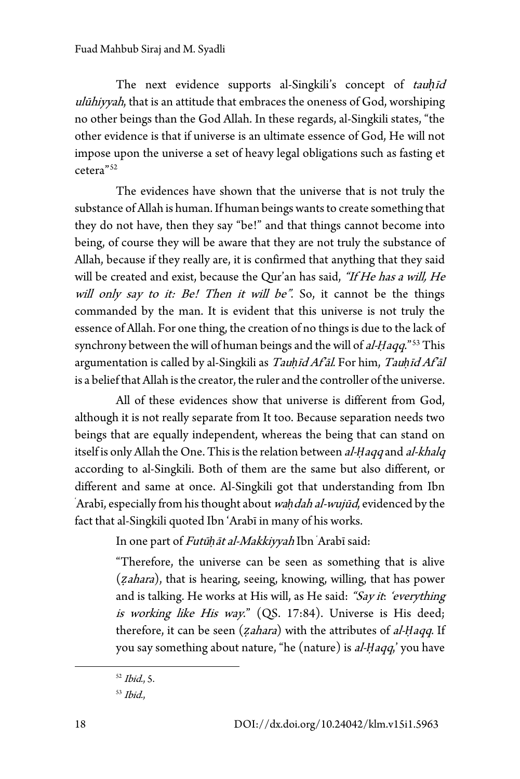The next evidence supports al-Singkili's concept of tau*ḥ*īd ulūhiyyah, that is an attitude that embraces the oneness of God, worshiping no other beings than the God Allah. In these regards, al-Singkili states, "the other evidence is that if universe is an ultimate essence of God, He will not impose upon the universe a set of heavy legal obligations such as fasting et cetera"[52](#page-19-0)

The evidences have shown that the universe that is not truly the substance of Allah is human. If human beings wants to create something that they do not have, then they say "be!" and that things cannot become into being, of course they will be aware that they are not truly the substance of Allah, because if they really are, it is confirmed that anything that they said will be created and exist, because the Qur'an has said, "If He has a will, He will only say to it: Be! Then it will be". So, it cannot be the things commanded by the man. It is evident that this universe is not truly the essence of Allah. For one thing, the creation of no things is due to the lack of synchrony between the will of human beings and the will of *al-Haqq*."<sup>[53](#page-19-1)</sup> This argumentation is called by al-Singkili as Tau*ḥ*īd Af'āl. For him, Tau*ḥ*īd Af'āl is a belief that Allah is the creator, the ruler and the controller of the universe.

All of these evidences show that universe is different from God, although it is not really separate from It too. Because separation needs two beings that are equally independent, whereas the being that can stand on itself is only Allah the One. This is the relation between al-*Ḥ*aqq and al-khalq according to al-Singkili. Both of them are the same but also different, or different and same at once. Al-Singkili got that understanding from Ibn ' Arabī, especially from his thought about wa*ḥ*dah al-wujūd, evidenced by the fact that al-Singkili quoted Ibn 'Arabī in many of his works.

In one part of Futū*ḥ*āt al-Makkiyyah Ibn ' Arabī said:

"Therefore, the universe can be seen as something that is alive (*ẓ*ahara), that is hearing, seeing, knowing, willing, that has power and is talking. He works at His will, as He said: "Say it: 'everything is working like His way." (QS. 17:84). Universe is His deed; therefore, it can be seen (*ẓ*ahara) with the attributes of al-*Ḥ*aqq. If you say something about nature, "he (nature) is al-*Ḥ*aqq,' you have

<span id="page-17-1"></span><span id="page-17-0"></span> $52$  *Ibid.*, 5.

<span id="page-17-2"></span><sup>53</sup> Ibid.,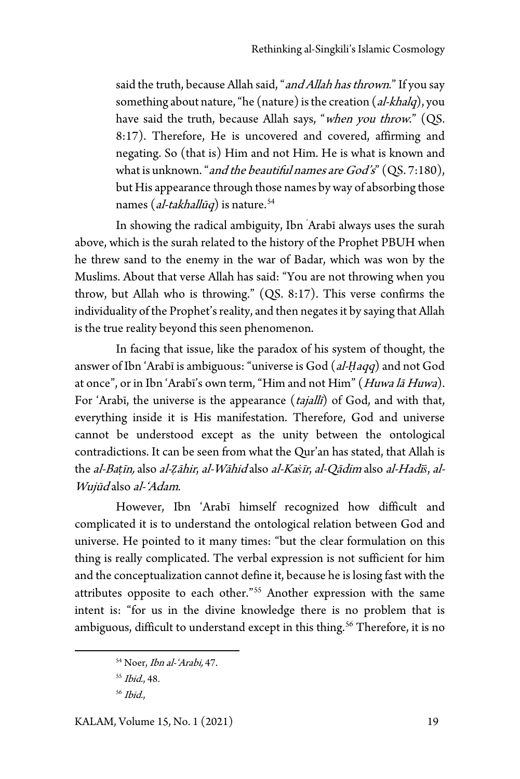said the truth, because Allah said, "and Allah has thrown." If you say something about nature, "he (nature) is the creation (al-khalq), you have said the truth, because Allah says, "when you throw." (QS. 8:17). Therefore, He is uncovered and covered, affirming and negating. So (that is) Him and not Him. He is what is known and what is unknown. "and the beautiful names are  $God's"$  (QS. 7:180), but His appearance through those names by way of absorbing those names (al-takhall $\bar{u}q$ ) is nature.<sup>[54](#page-20-0)</sup>

In showing the radical ambiguity, Ibn ' Arabī always uses the surah above, which is the surah related to the history of the Prophet PBUH when he threw sand to the enemy in the war of Badar, which was won by the Muslims. About that verse Allah has said: "You are not throwing when you throw, but Allah who is throwing." (QS. 8:17). This verse confirms the individuality of the Prophet's reality, and then negates it by saying that Allah is the true reality beyond this seen phenomenon.

In facing that issue, like the paradox of his system of thought, the answer of Ibn 'Arabī is ambiguous: "universe is God (al-*Ḥ*aqq) and not God at once", or in Ibn 'Arabī's own term, "Him and not Him" (Huwa lā Huwa). For 'Arabī, the universe is the appearance (*tajallī*) of God, and with that, everything inside it is His manifestation. Therefore, God and universe cannot be understood except as the unity between the ontological contradictions. It can be seen from what the Qur'an has stated, that Allah is the al-Ba*ṭ*īn, also al-*Ẓ*āhir, al-Wāhid also al-Ka*ṡ*īr, al-Qādim also al-Hadī*ṡ*, al-Wujūd also al-'Adam.

However, Ibn 'Arabī himself recognized how difficult and complicated it is to understand the ontological relation between God and universe. He pointed to it many times: "but the clear formulation on this thing is really complicated. The verbal expression is not sufficient for him and the conceptualization cannot define it, because he is losing fast with the attributes opposite to each other."[55](#page-21-0) Another expression with the same intent is: "for us in the divine knowledge there is no problem that is ambiguous, difficult to understand except in this thing.<sup>[56](#page-21-1)</sup> Therefore, it is no

<span id="page-18-2"></span><span id="page-18-1"></span><span id="page-18-0"></span><sup>54</sup> Noer, Ibn al-'Arabi, 47.

<sup>55</sup> Ibid., 48.

<span id="page-18-3"></span><sup>56</sup> Ibid.,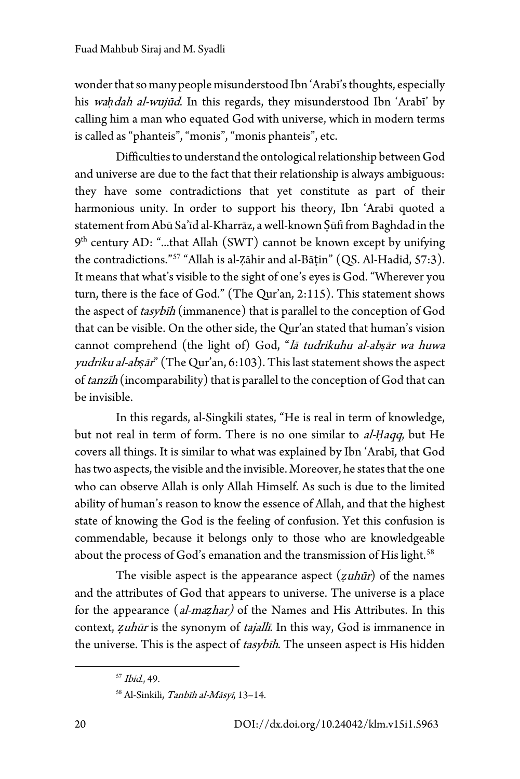wonder that so many people misunderstood Ibn 'Arabī's thoughts, especially his wa*ḥ*dah al-wujūd. In this regards, they misunderstood Ibn 'Arabī' by calling him a man who equated God with universe, which in modern terms is called as "phanteis", "monis", "monis phanteis", etc.

Difficulties to understand the ontological relationship between God and universe are due to the fact that their relationship is always ambiguous: they have some contradictions that yet constitute as part of their harmonious unity. In order to support his theory, Ibn 'Arabī quoted a statement from Abū Sa'īd al-Kharrāz, a well-known Ṣūfī from Baghdad in the  $9<sup>th</sup>$  century AD: "...that Allah (SWT) cannot be known except by unifying the contradictions."[57](#page-21-2) "Allah is al-Ẓāhir and al-Bāṭin" (QS. Al-Hadid, 57:3). It means that what's visible to the sight of one's eyes is God. "Wherever you turn, there is the face of God." (The Qur'an, 2:115). This statement shows the aspect of *tasybih* (immanence) that is parallel to the conception of God that can be visible. On the other side, the Qur'an stated that human's vision cannot comprehend (the light of) God, "lā tudrikuhu al-ab*ṣ*ār wa huwa yudriku al-ab*ṣ*ār" (The Qur'an, 6:103). This last statement shows the aspect of tanzīh (incomparability) that is parallel to the conception of God that can be invisible.

In this regards, al-Singkili states, "He is real in term of knowledge, but not real in term of form. There is no one similar to al-*Ḥ*aqq, but He covers all things. It is similar to what was explained by Ibn 'Arabī, that God has two aspects, the visible and the invisible. Moreover, he states that the one who can observe Allah is only Allah Himself. As such is due to the limited ability of human's reason to know the essence of Allah, and that the highest state of knowing the God is the feeling of confusion. Yet this confusion is commendable, because it belongs only to those who are knowledgeable about the process of God's emanation and the transmission of His light.<sup>58</sup>

The visible aspect is the appearance aspect (*ẓ*uhūr) of the names and the attributes of God that appears to universe. The universe is a place for the appearance (al-ma*ẓ*har) of the Names and His Attributes. In this context, *ẓ*uhūr is the synonym of tajallī. In this way, God is immanence in the universe. This is the aspect of *tasybīh*. The unseen aspect is His hidden

<span id="page-19-0"></span><sup>57</sup> Ibid., 49.

<span id="page-19-1"></span><sup>58</sup> Al-Sinkili, Tanbīh al-Māsyī, 13–14.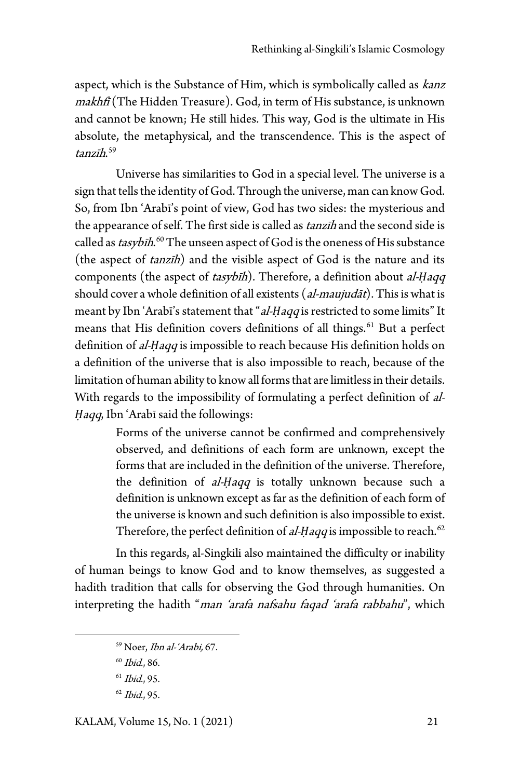aspect, which is the Substance of Him, which is symbolically called as kanz makhfī (The Hidden Treasure). God, in term of His substance, is unknown and cannot be known; He still hides. This way, God is the ultimate in His absolute, the metaphysical, and the transcendence. This is the aspect of tanzīh. [59](#page-22-1)

Universe has similarities to God in a special level. The universe is a sign that tells the identity of God. Through the universe, man can know God. So, from Ibn 'Arabī's point of view, God has two sides: the mysterious and the appearance of self. The first side is called as tanzih and the second side is called as *tasybih*.<sup>[60](#page-22-2)</sup> The unseen aspect of God is the oneness of His substance (the aspect of tanzīh) and the visible aspect of God is the nature and its components (the aspect of tasybīh). Therefore, a definition about al-*Ḥ*aqq should cover a whole definition of all existents (al-maujudat). This is what is meant by Ibn 'Arabī's statement that "al-Haqq is restricted to some limits" It means that His definition covers definitions of all things.<sup>[61](#page-22-3)</sup> But a perfect definition of *al-Haqq* is impossible to reach because His definition holds on a definition of the universe that is also impossible to reach, because of the limitation of human ability to know all forms that are limitless in their details. With regards to the impossibility of formulating a perfect definition of al-*Haqq*, Ibn 'Arabī said the followings:

> Forms of the universe cannot be confirmed and comprehensively observed, and definitions of each form are unknown, except the forms that are included in the definition of the universe. Therefore, the definition of *al-Haqq* is totally unknown because such a definition is unknown except as far as the definition of each form of the universe is known and such definition is also impossible to exist. Therefore, the perfect definition of al-*Ḥaqq* is impossible to reach.<sup>[62](#page-23-0)</sup>

In this regards, al-Singkili also maintained the difficulty or inability of human beings to know God and to know themselves, as suggested a hadith tradition that calls for observing the God through humanities. On interpreting the hadith "*man 'arafa nafsahu faqad 'arafa rabbahu*", which

<sup>59</sup> Noer, Ibn al-'Arabi, 67.

<sup>60</sup> Ibid., 86.

 $61$  Ibid., 95.

<span id="page-20-0"></span><sup>62</sup> Ibid., 95.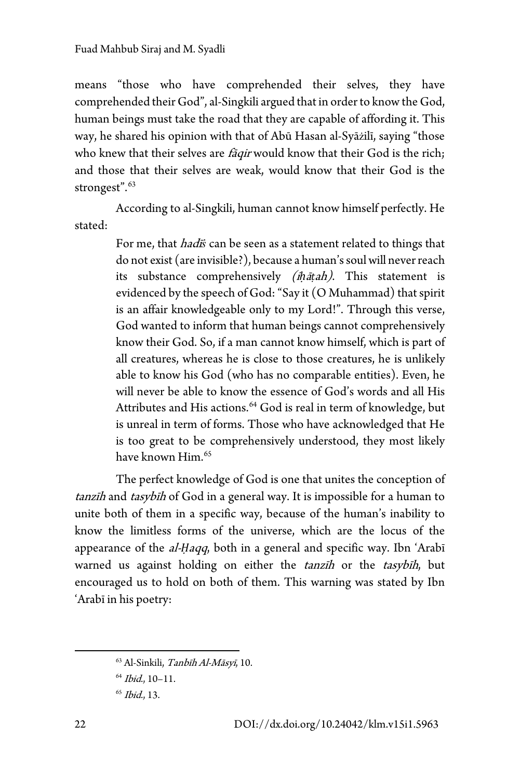means "those who have comprehended their selves, they have comprehended their God", al-Singkili argued that in order to know the God, human beings must take the road that they are capable of affording it. This way, he shared his opinion with that of Abū Hasan al-Syāżilī, saying "those who knew that their selves are *fāqir* would know that their God is the rich; and those that their selves are weak, would know that their God is the strongest".<sup>[63](#page-23-1)</sup>

According to al-Singkili, human cannot know himself perfectly. He stated:

> For me, that *hadi*s can be seen as a statement related to things that do not exist (are invisible?), because a human's soul will never reach its substance comprehensively (i*ḥ*ā*ṭ*ah). This statement is evidenced by the speech of God: "Say it (O Muhammad) that spirit is an affair knowledgeable only to my Lord!". Through this verse, God wanted to inform that human beings cannot comprehensively know their God. So, if a man cannot know himself, which is part of all creatures, whereas he is close to those creatures, he is unlikely able to know his God (who has no comparable entities). Even, he will never be able to know the essence of God's words and all His Attributes and His actions.<sup>[64](#page-24-0)</sup> God is real in term of knowledge, but is unreal in term of forms. Those who have acknowledged that He is too great to be comprehensively understood, they most likely have known Him.[65](#page-24-1)

The perfect knowledge of God is one that unites the conception of tanzīh and tasybīh of God in a general way. It is impossible for a human to unite both of them in a specific way, because of the human's inability to know the limitless forms of the universe, which are the locus of the appearance of the al-*Ḥ*aqq, both in a general and specific way. Ibn 'Arabī warned us against holding on either the *tanzīh* or the *tasybīh*, but encouraged us to hold on both of them. This warning was stated by Ibn 'Arabī in his poetry:

<span id="page-21-0"></span><sup>&</sup>lt;sup>63</sup> Al-Sinkili, Tanbīh Al-Māsyī, 10.

<span id="page-21-2"></span><span id="page-21-1"></span> $64$  *Ibid.*, 10-11.

 $65$  *Ibid.*, 13.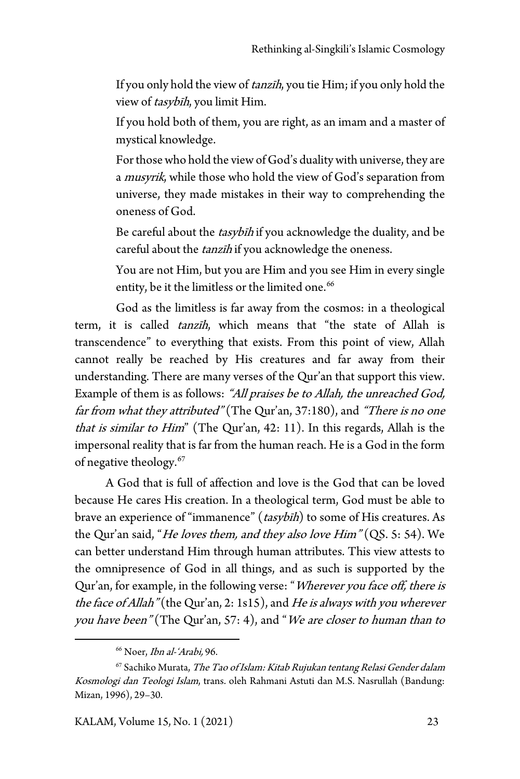If you only hold the view of tanzīh, you tie Him; if you only hold the view of tasybīh, you limit Him.

If you hold both of them, you are right, as an imam and a master of mystical knowledge.

For those who hold the view of God's duality with universe, they are a *musyrik*, while those who hold the view of God's separation from universe, they made mistakes in their way to comprehending the oneness of God.

Be careful about the *tasybih* if you acknowledge the duality, and be careful about the tanzīh if you acknowledge the oneness.

You are not Him, but you are Him and you see Him in every single entity, be it the limitless or the limited one.<sup>[66](#page-24-2)</sup>

God as the limitless is far away from the cosmos: in a theological term, it is called tanzīh, which means that "the state of Allah is transcendence" to everything that exists. From this point of view, Allah cannot really be reached by His creatures and far away from their understanding. There are many verses of the Qur'an that support this view. Example of them is as follows: "All praises be to Allah, the unreached God, far from what they attributed" (The Qur'an, 37:180), and "There is no one that is similar to Him" (The Qur'an, 42: 11). In this regards, Allah is the impersonal reality that is far from the human reach. He is a God in the form of negative theology.[67](#page-25-0)

A God that is full of affection and love is the God that can be loved because He cares His creation. In a theological term, God must be able to brave an experience of "immanence" (tasybīh) to some of His creatures. As the Qur'an said, "*He loves them, and they also love Him*" (QS. 5: 54). We can better understand Him through human attributes. This view attests to the omnipresence of God in all things, and as such is supported by the Qur'an, for example, in the following verse: "Wherever you face off, there is the face of Allah" (the Qur'an, 2: 1s15), and He is always with you wherever you have been" (The Qur'an, 57: 4), and "We are closer to human than to

<sup>66</sup> Noer, Ibn al-'Arabi, 96.

<span id="page-22-3"></span><span id="page-22-2"></span><span id="page-22-1"></span><span id="page-22-0"></span><sup>&</sup>lt;sup>67</sup> Sachiko Murata, *The Tao of Islam: Kitab Rujukan tentang Relasi Gender dalam* Kosmologi dan Teologi Islam, trans. oleh Rahmani Astuti dan M.S. Nasrullah (Bandung: Mizan, 1996), 29–30.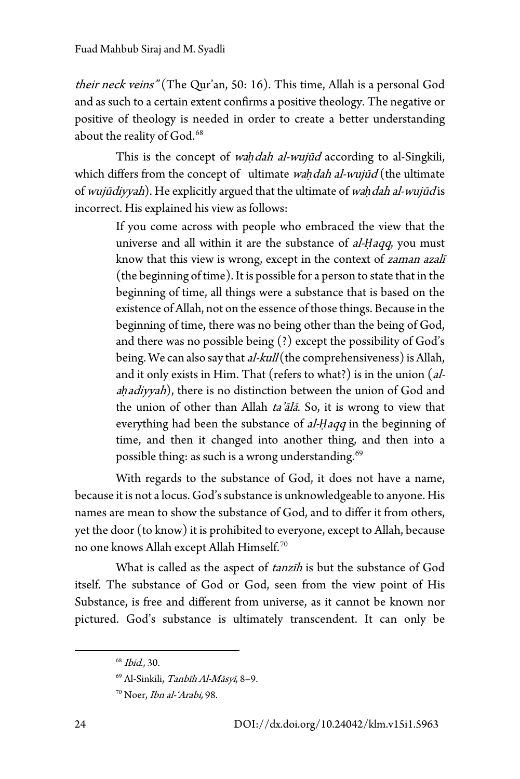their neck veins" (The Qur'an, 50: 16). This time, Allah is a personal God and as such to a certain extent confirms a positive theology. The negative or positive of theology is needed in order to create a better understanding about the reality of God.<sup>[68](#page-25-1)</sup>

This is the concept of *waḥdah al-wujūd* according to al-Singkili, which differs from the concept of ultimate wah dah al-wujūd (the ultimate of wujūdiyyah). He explicitly argued that the ultimate of wa*ḥ*dah al-wujūd is incorrect. His explained his view as follows:

> If you come across with people who embraced the view that the universe and all within it are the substance of *al-Haqq*, you must know that this view is wrong, except in the context of zaman azali (the beginning of time).It is possible for a person to state that in the beginning of time, all things were a substance that is based on the existence of Allah, not on the essence of those things. Because in the beginning of time, there was no being other than the being of God, and there was no possible being (?) except the possibility of God's being. We can also say that *al-kull* (the comprehensiveness) is Allah, and it only exists in Him. That (refers to what?) is in the union (al<sup>a</sup>*ḥ*adiyyah), there is no distinction between the union of God and the union of other than Allah ta'ālā. So, it is wrong to view that everything had been the substance of al-*Ḥ*aqq in the beginning of time, and then it changed into another thing, and then into a possible thing: as such is a wrong understanding.<sup>[69](#page-26-0)</sup>

With regards to the substance of God, it does not have a name, because it is not a locus. God's substance is unknowledgeable to anyone. His names are mean to show the substance of God, and to differ it from others, yet the door (to know) it is prohibited to everyone, except to Allah, because no one knows Allah except Allah Himself.[70](#page-26-1)

What is called as the aspect of tanzīh is but the substance of God itself. The substance of God or God, seen from the view point of His Substance, is free and different from universe, as it cannot be known nor pictured. God's substance is ultimately transcendent. It can only be

<sup>68</sup> Ibid., 30.

<span id="page-23-0"></span><sup>69</sup> Al-Sinkili, Tanbīh Al-Māsyī, 8–9.

<span id="page-23-1"></span><sup>70</sup> Noer, Ibn al-'Arabi, 98.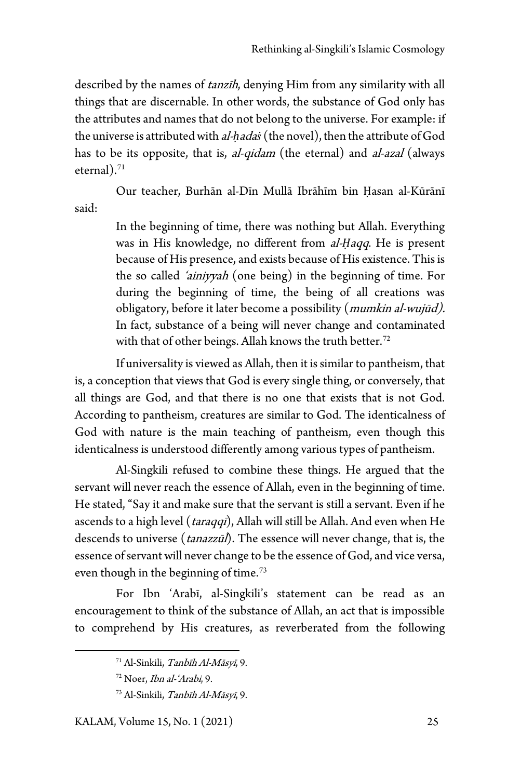described by the names of *tanzīh*, denying Him from any similarity with all things that are discernable. In other words, the substance of God only has the attributes and names that do not belong to the universe. For example: if the universe is attributed with al-*ḥ*ada*ṡ* (the novel), then the attribute of God has to be its opposite, that is, *al-qidam* (the eternal) and *al-azal* (always eternal $).$ <sup>[71](#page-26-2)</sup>

Our teacher, Burhān al-Dīn Mullā Ibrāhīm bin Ḥasan al-Kūrānī said:

> In the beginning of time, there was nothing but Allah. Everything was in His knowledge, no different from al-*Ḥ*aqq. He is present because of His presence, and exists because of His existence. This is the so called 'ainiyyah (one being) in the beginning of time. For during the beginning of time, the being of all creations was obligatory, before it later become a possibility (*mumkin al-wujūd*). In fact, substance of a being will never change and contaminated with that of other beings. Allah knows the truth better.<sup>[72](#page-26-3)</sup>

If universality is viewed as Allah, then it is similar to pantheism, that is, a conception that views that God is every single thing, or conversely, that all things are God, and that there is no one that exists that is not God. According to pantheism, creatures are similar to God. The identicalness of God with nature is the main teaching of pantheism, even though this identicalness is understood differently among various types of pantheism.

Al-Singkili refused to combine these things. He argued that the servant will never reach the essence of Allah, even in the beginning of time. He stated, "Say it and make sure that the servant is still a servant. Even if he ascends to a high level (*taraqqī*), Allah will still be Allah. And even when He descends to universe (*tanazzūl*). The essence will never change, that is, the essence of servant will never change to be the essence of God, and vice versa, even though in the beginning of time.<sup>[73](#page-27-0)</sup>

For Ibn 'Arabī, al-Singkili's statement can be read as an encouragement to think of the substance of Allah, an act that is impossible to comprehend by His creatures, as reverberated from the following

<span id="page-24-2"></span><span id="page-24-1"></span><span id="page-24-0"></span>KALAM, Volume 15, No. 1 (2021) 25

<sup>71</sup> Al-Sinkili, Tanbīh Al-Māsyī, 9.

<sup>72</sup> Noer, Ibn al-'Arabi, 9.

<sup>73</sup> Al-Sinkili, Tanbīh Al-Māsyī, 9.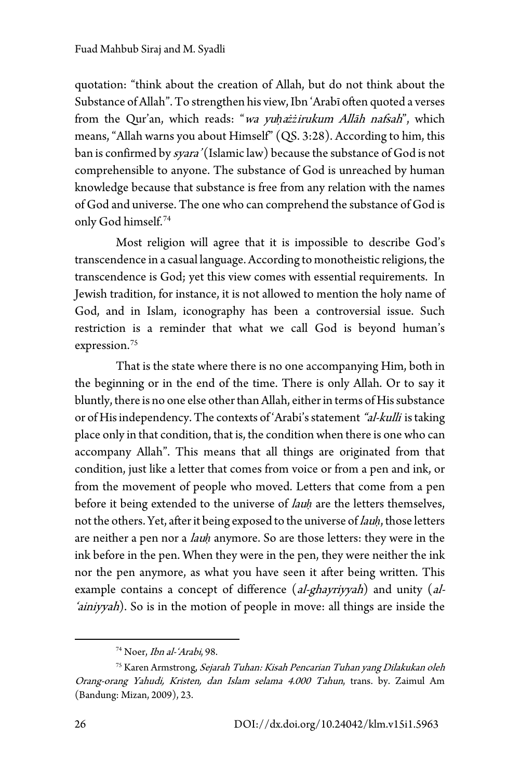quotation: "think about the creation of Allah, but do not think about the Substance of Allah". To strengthen his view, Ibn 'Arabī often quoted a verses from the Qur'an, which reads: "wa yu*ḥ*a*żż*irukum Allāh nafsah", which means, "Allah warns you about Himself" (QS. 3:28). According to him, this ban is confirmed by *syara'* (Islamic law) because the substance of God is not comprehensible to anyone. The substance of God is unreached by human knowledge because that substance is free from any relation with the names of God and universe. The one who can comprehend the substance of God is only God himself.[74](#page-27-1)

Most religion will agree that it is impossible to describe God's transcendence in a casual language. According to monotheistic religions, the transcendence is God; yet this view comes with essential requirements. In Jewish tradition, for instance, it is not allowed to mention the holy name of God, and in Islam, iconography has been a controversial issue. Such restriction is a reminder that what we call God is beyond human's expression.[75](#page-28-0)

That is the state where there is no one accompanying Him, both in the beginning or in the end of the time. There is only Allah. Or to say it bluntly, there is no one else other than Allah, either in terms of His substance or of His independency. The contexts of 'Arabi's statement "al-kulli is taking place only in that condition, that is, the condition when there is one who can accompany Allah". This means that all things are originated from that condition, just like a letter that comes from voice or from a pen and ink, or from the movement of people who moved. Letters that come from a pen before it being extended to the universe of lau*ḥ* are the letters themselves, not the others. Yet, after it being exposed to the universe of lau*ḥ*, those letters are neither a pen nor a lau*ḥ* anymore. So are those letters: they were in the ink before in the pen. When they were in the pen, they were neither the ink nor the pen anymore, as what you have seen it after being written. This example contains a concept of difference (al-ghayriyyah) and unity (al-'ainiyyah). So is in the motion of people in move: all things are inside the

<sup>74</sup> Noer, Ibn al-'Arabi, 98.

<span id="page-25-1"></span><span id="page-25-0"></span><sup>&</sup>lt;sup>75</sup> Karen Armstrong, Sejarah Tuhan: Kisah Pencarian Tuhan yang Dilakukan oleh Orang-orang Yahudi, Kristen, dan Islam selama 4.000 Tahun, trans. by. Zaimul Am (Bandung: Mizan, 2009), 23.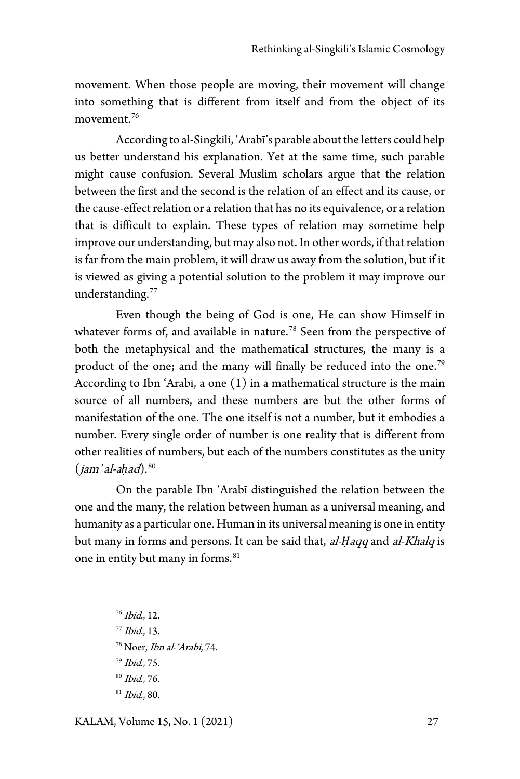movement. When those people are moving, their movement will change into something that is different from itself and from the object of its movement.<sup>[76](#page-28-1)</sup>

According to al-Singkili, 'Arabī's parable about the letters could help us better understand his explanation. Yet at the same time, such parable might cause confusion. Several Muslim scholars argue that the relation between the first and the second is the relation of an effect and its cause, or the cause-effect relation or a relation that has no its equivalence, or a relation that is difficult to explain. These types of relation may sometime help improve our understanding, but may also not. In other words, if that relation is far from the main problem, it will draw us away from the solution, but if it is viewed as giving a potential solution to the problem it may improve our understanding.<sup>[77](#page-29-0)</sup>

Even though the being of God is one, He can show Himself in whatever forms of, and available in nature.<sup>[78](#page-29-1)</sup> Seen from the perspective of both the metaphysical and the mathematical structures, the many is a product of the one; and the many will finally be reduced into the one.<sup>[79](#page-29-2)</sup> According to Ibn 'Arabī, a one (1) in a mathematical structure is the main source of all numbers, and these numbers are but the other forms of manifestation of the one. The one itself is not a number, but it embodies a number. Every single order of number is one reality that is different from other realities of numbers, but each of the numbers constitutes as the unity (jam' al-a*ḥ*ad).[80](#page-29-3)

On the parable Ibn 'Arabī distinguished the relation between the one and the many, the relation between human as a universal meaning, and humanity as a particular one. Human in its universal meaning is one in entity but many in forms and persons. It can be said that, al-*Ḥ*aqq and al-Khalq is one in entity but many in forms.<sup>[81](#page-29-4)</sup>

- $76$  *Ibid.*, 12.
- <span id="page-26-0"></span> $77$  Ibid., 13.
- <sup>78</sup> Noer, Ibn al-'Arabi, 74.
- <span id="page-26-2"></span><span id="page-26-1"></span><sup>79</sup> Ibid., 75.
- <sup>80</sup> Ibid., 76.
- <span id="page-26-3"></span><sup>81</sup> Ibid., 80.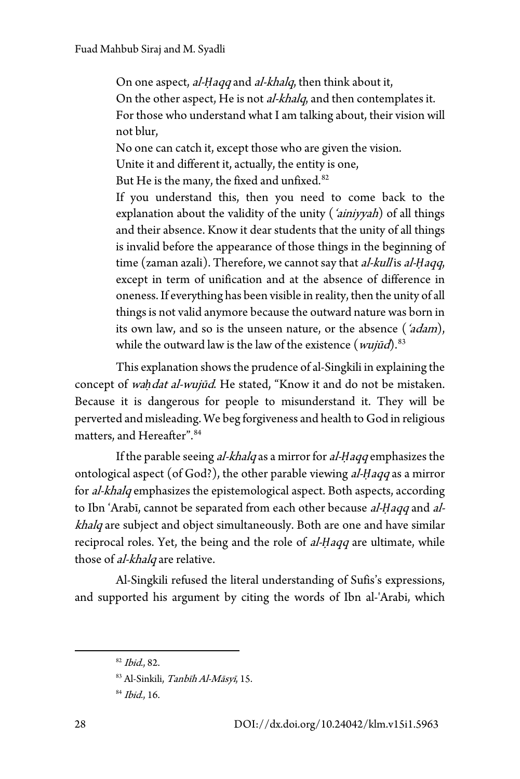On one aspect, *al-Haqq* and *al-khalq*, then think about it, On the other aspect, He is not *al-khalq*, and then contemplates it. For those who understand what I am talking about, their vision will not blur,

No one can catch it, except those who are given the vision.

Unite it and different it, actually, the entity is one,

But He is the many, the fixed and unfixed.<sup>[82](#page-29-5)</sup>

If you understand this, then you need to come back to the explanation about the validity of the unity (*'ainiyyah*) of all things and their absence. Know it dear students that the unity of all things is invalid before the appearance of those things in the beginning of time (zaman azali). Therefore, we cannot say that *al-kull* is *al-Ḥaqq*, except in term of unification and at the absence of difference in oneness. If everything has been visible in reality, then the unity of all things is not valid anymore because the outward nature was born in its own law, and so is the unseen nature, or the absence (*'adam*), while the outward law is the law of the existence  $(wujūd)^{83}$  $(wujūd)^{83}$  $(wujūd)^{83}$ 

This explanation shows the prudence of al-Singkili in explaining the concept of wah dat al-wujūd. He stated, "Know it and do not be mistaken. Because it is dangerous for people to misunderstand it. They will be perverted and misleading. We beg forgiveness and health to God in religious matters, and Hereafter".[84](#page-30-1)

If the parable seeing *al-khalq* as a mirror for *al-Haqq* emphasizes the ontological aspect (of God?), the other parable viewing al-*Ḥ*aqq as a mirror for al-khalq emphasizes the epistemological aspect. Both aspects, according to Ibn 'Arabī, cannot be separated from each other because al-*Ḥ*aqq and alkhalq are subject and object simultaneously. Both are one and have similar reciprocal roles. Yet, the being and the role of al-*Ḥ*aqq are ultimate, while those of *al-khalq* are relative.

Al-Singkili refused the literal understanding of Sufis's expressions, and supported his argument by citing the words of Ibn al-'Arabi, which

 $82$  Ibid., 82.

<span id="page-27-0"></span><sup>83</sup> Al-Sinkili, Tanbīh Al-Māsyī, 15.

<span id="page-27-1"></span><sup>84</sup> Ibid., 16.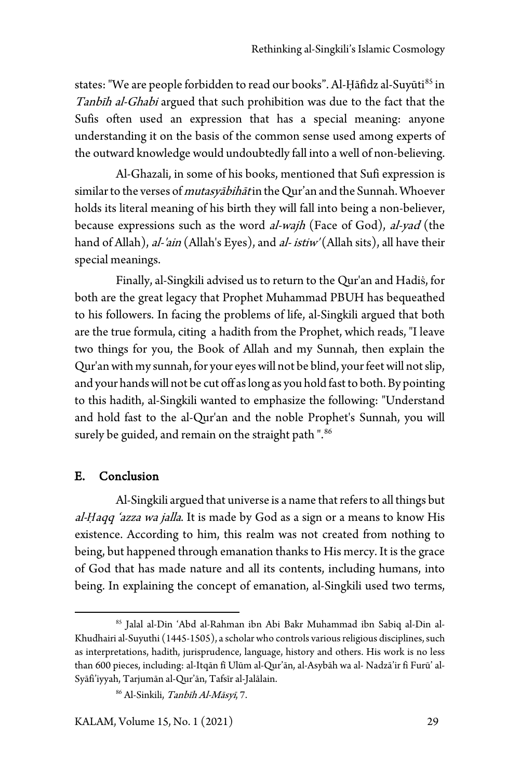states: "We are people forbidden to read our books". Al-Ḥāfidz al-Suyūti<sup>[85](#page-30-2)</sup> in Tanbīh al-Ghabi argued that such prohibition was due to the fact that the Sufis often used an expression that has a special meaning: anyone understanding it on the basis of the common sense used among experts of the outward knowledge would undoubtedly fall into a well of non-believing.

Al-Ghazali, in some of his books, mentioned that Sufi expression is similar to the verses of *mutasyābihāt* in the Qur'an and the Sunnah. Whoever holds its literal meaning of his birth they will fall into being a non-believer, because expressions such as the word al-wajh (Face of God), al-yad (the hand of Allah), *al-'ain* (Allah's Eyes), and *al- istiw'* (Allah sits), all have their special meanings.

Finally, al-Singkili advised us to return to the Qur'an and Hadiṡ, for both are the great legacy that Prophet Muhammad PBUH has bequeathed to his followers. In facing the problems of life, al-Singkili argued that both are the true formula, citing a hadith from the Prophet, which reads, "I leave two things for you, the Book of Allah and my Sunnah, then explain the Qur'an with my sunnah, for your eyes will not be blind, your feet will not slip, and your hands will not be cut off as long as you hold fast to both. By pointing to this hadith, al-Singkili wanted to emphasize the following: "Understand and hold fast to the al-Qur'an and the noble Prophet's Sunnah, you will surely be guided, and remain on the straight path ". [86](#page-31-0)

#### E. Conclusion

Al-Singkili argued that universe is a name that refers to all things but al-*Ḥ*aqq 'azza wa jalla. It is made by God as a sign or a means to know His existence. According to him, this realm was not created from nothing to being, but happened through emanation thanks to His mercy. It is the grace of God that has made nature and all its contents, including humans, into being. In explaining the concept of emanation, al-Singkili used two terms,

<span id="page-28-1"></span><span id="page-28-0"></span><sup>85</sup> Jalal al-Din 'Abd al-Rahman ibn Abi Bakr Muhammad ibn Sabiq al-Din al-Khudhairi al-Suyuthi (1445-1505), a scholar who controls various religious disciplines, such as interpretations, hadith, jurisprudence, language, history and others. His work is no less than 600 pieces, including: al-Itqān fī Ulūm al-Qur'ān, al-Asybāh wa al- Nadzā'ir fi Furū' al-Syāfi'iyyah, Tarjumān al-Qur'ān, Tafsīr al-Jalālain.

<sup>86</sup> Al-Sinkili, Tanbīh Al-Māsyī, 7.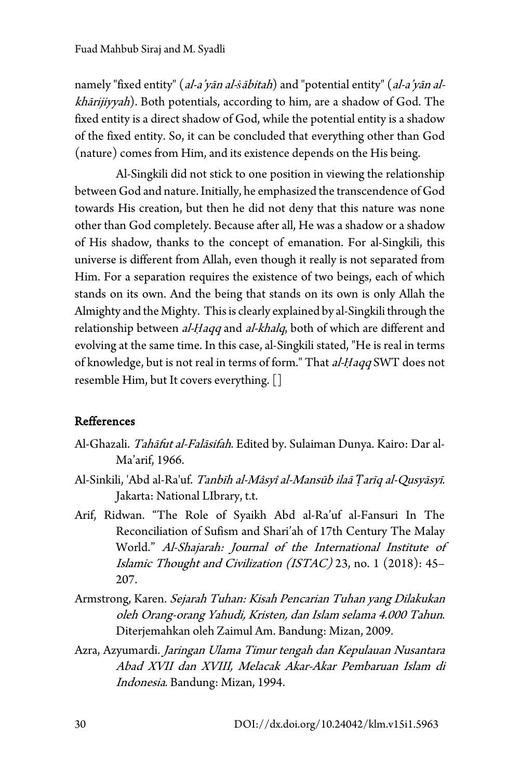namely "fixed entity" (al-a'yān al-*ṡ*ābitah) and "potential entity" (al-a'yān alkhārijiyyah). Both potentials, according to him, are a shadow of God. The fixed entity is a direct shadow of God, while the potential entity is a shadow of the fixed entity. So, it can be concluded that everything other than God (nature) comes from Him, and its existence depends on the His being.

Al-Singkili did not stick to one position in viewing the relationship between God and nature. Initially, he emphasized the transcendence of God towards His creation, but then he did not deny that this nature was none other than God completely. Because after all, He was a shadow or a shadow of His shadow, thanks to the concept of emanation. For al-Singkili, this universe is different from Allah, even though it really is not separated from Him. For a separation requires the existence of two beings, each of which stands on its own. And the being that stands on its own is only Allah the Almighty and the Mighty. This is clearly explained by al-Singkilithrough the relationship between al-*Ḥ*aqq and al-khalq, both of which are different and evolving at the same time. In this case, al-Singkili stated, "He is real in terms of knowledge, but is not real in terms of form." That al-*Ḥ*aqq SWT does not resemble Him, but It covers everything.[]

### Refferences

- Al-Ghazali. Tahāfut al-Falāsifah. Edited by. Sulaiman Dunya. Kairo: Dar al-Ma'arif, 1966.
- Al-Sinkili, 'Abd al-Ra'uf. Tanbīh al-Mâsyî al-Mansūb ilaā *Ṭ*arīq al-Qusyāsyī. Jakarta: National LIbrary, t.t.
- Arif, Ridwan. "The Role of Syaikh Abd al-Ra'uf al-Fansuri In The Reconciliation of Sufism and Shari'ah of 17th Century The Malay World." Al-Shajarah: Journal of the International Institute of Islamic Thought and Civilization (ISTAC) 23, no. 1 (2018): 45– 207.
- <span id="page-29-0"></span>Armstrong, Karen. Sejarah Tuhan: Kisah Pencarian Tuhan yang Dilakukan oleh Orang-orang Yahudi, Kristen, dan Islam selama 4.000 Tahun. Diterjemahkan oleh Zaimul Am. Bandung: Mizan, 2009.
- <span id="page-29-5"></span><span id="page-29-4"></span><span id="page-29-3"></span><span id="page-29-2"></span><span id="page-29-1"></span>Azra, Azyumardi. Jaringan Ulama Timur tengah dan Kepulauan Nusantara Abad XVII dan XVIII, Melacak Akar-Akar Pembaruan Islam di Indonesia. Bandung: Mizan, 1994.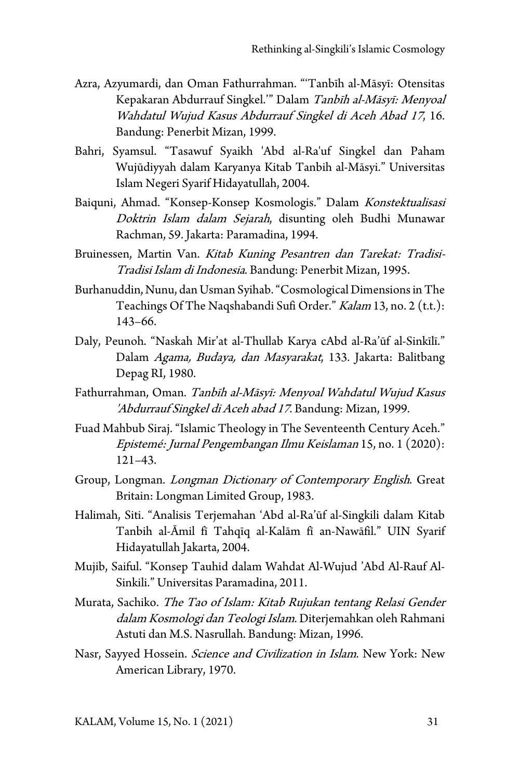- Azra, Azyumardi, dan Oman Fathurrahman. "'Tanbīh al-Māsyī: Otensitas Kepakaran Abdurrauf Singkel.'" Dalam Tanbīh al-Māsyī: Menyoal Wahdatul Wujud Kasus Abdurrauf Singkel di Aceh Abad 17, 16. Bandung: Penerbit Mizan, 1999.
- Bahri, Syamsul. "Tasawuf Syaikh 'Abd al-Ra'uf Singkel dan Paham Wujūdiyyah dalam Karyanya Kitab Tanbih al-Māsyi." Universitas Islam Negeri Syarif Hidayatullah, 2004.
- Baiquni, Ahmad. "Konsep-Konsep Kosmologis." Dalam Konstektualisasi Doktrin Islam dalam Sejarah, disunting oleh Budhi Munawar Rachman, 59. Jakarta: Paramadina, 1994.
- Bruinessen, Martin Van. Kitab Kuning Pesantren dan Tarekat: Tradisi-Tradisi Islam di Indonesia. Bandung: Penerbit Mizan, 1995.
- Burhanuddin, Nunu, dan Usman Syihab. "Cosmological Dimensions in The Teachings Of The Naqshabandi Sufi Order." Kalam 13, no. 2 (t.t.): 143–66.
- Daly, Peunoh. "Naskah Mir'at al-Thullab Karya cAbd al-Ra'ūf al-Sinkīlī." Dalam Agama, Budaya, dan Masyarakat, 133. Jakarta: Balitbang Depag RI, 1980.
- Fathurrahman, Oman. Tanbīh al-Māsyī: Menyoal Wahdatul Wujud Kasus 'Abdurrauf Singkel di Aceh abad 17. Bandung: Mizan, 1999.
- Fuad Mahbub Siraj. "Islamic Theology in The Seventeenth Century Aceh." Epistemé: Jurnal Pengembangan Ilmu Keislaman 15, no. 1 (2020): 121–43.
- Group, Longman. Longman Dictionary of Contemporary English. Great Britain: Longman Limited Group, 1983.
- Halimah, Siti. "Analisis Terjemahan 'Abd al-Ra'ūf al-Singkili dalam Kitab Tanbih al-Āmil fī Tahqīq al-Kalām fī an-Nawāfil." UIN Syarif Hidayatullah Jakarta, 2004.
- Mujib, Saiful. "Konsep Tauhid dalam Wahdat Al-Wujud 'Abd Al-Rauf Al-Sinkili." Universitas Paramadina, 2011.
- <span id="page-30-1"></span><span id="page-30-0"></span>Murata, Sachiko. The Tao of Islam: Kitab Rujukan tentang Relasi Gender dalam Kosmologi dan Teologi Islam. Diterjemahkan oleh Rahmani Astuti dan M.S. Nasrullah. Bandung: Mizan, 1996.
- <span id="page-30-2"></span>Nasr, Sayyed Hossein. *Science and Civilization in Islam*. New York: New American Library, 1970.